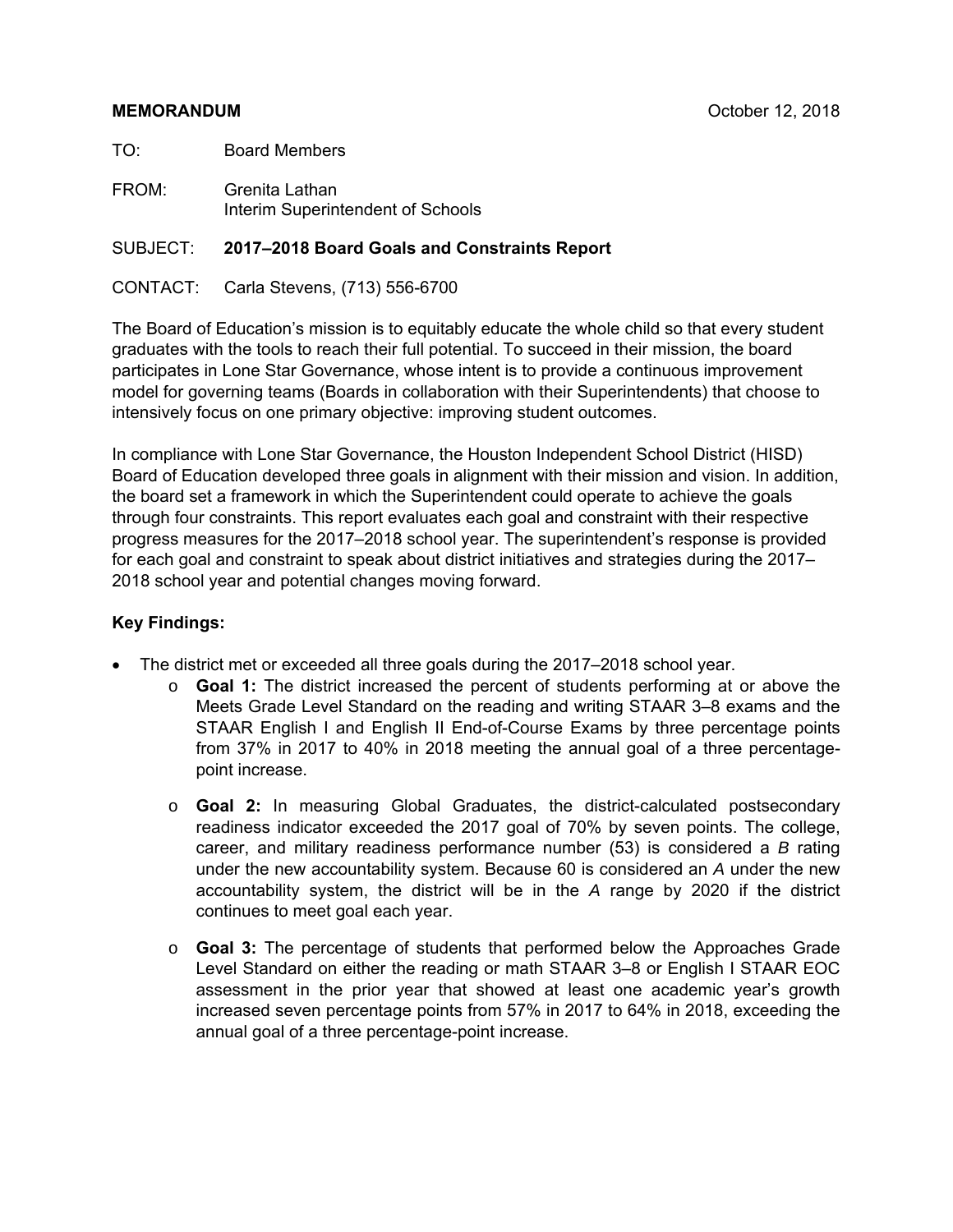#### **MEMORANDUM** October 12, 2018

TO: Board Members

FROM: Grenita Lathan Interim Superintendent of Schools

#### SUBJECT: **2017–2018 Board Goals and Constraints Report**

CONTACT: Carla Stevens, (713) 556-6700

The Board of Education's mission is to equitably educate the whole child so that every student graduates with the tools to reach their full potential. To succeed in their mission, the board participates in Lone Star Governance, whose intent is to provide a continuous improvement model for governing teams (Boards in collaboration with their Superintendents) that choose to intensively focus on one primary objective: improving student outcomes.

In compliance with Lone Star Governance, the Houston Independent School District (HISD) Board of Education developed three goals in alignment with their mission and vision. In addition, the board set a framework in which the Superintendent could operate to achieve the goals through four constraints. This report evaluates each goal and constraint with their respective progress measures for the 2017–2018 school year. The superintendent's response is provided for each goal and constraint to speak about district initiatives and strategies during the 2017– 2018 school year and potential changes moving forward.

#### **Key Findings:**

- The district met or exceeded all three goals during the 2017–2018 school year.
	- o **Goal 1:** The district increased the percent of students performing at or above the Meets Grade Level Standard on the reading and writing STAAR 3–8 exams and the STAAR English I and English II End-of-Course Exams by three percentage points from 37% in 2017 to 40% in 2018 meeting the annual goal of a three percentagepoint increase.
	- o **Goal 2:** In measuring Global Graduates, the district-calculated postsecondary readiness indicator exceeded the 2017 goal of 70% by seven points. The college, career, and military readiness performance number (53) is considered a *B* rating under the new accountability system. Because 60 is considered an *A* under the new accountability system, the district will be in the *A* range by 2020 if the district continues to meet goal each year.
	- o **Goal 3:** The percentage of students that performed below the Approaches Grade Level Standard on either the reading or math STAAR 3–8 or English I STAAR EOC assessment in the prior year that showed at least one academic year's growth increased seven percentage points from 57% in 2017 to 64% in 2018, exceeding the annual goal of a three percentage-point increase.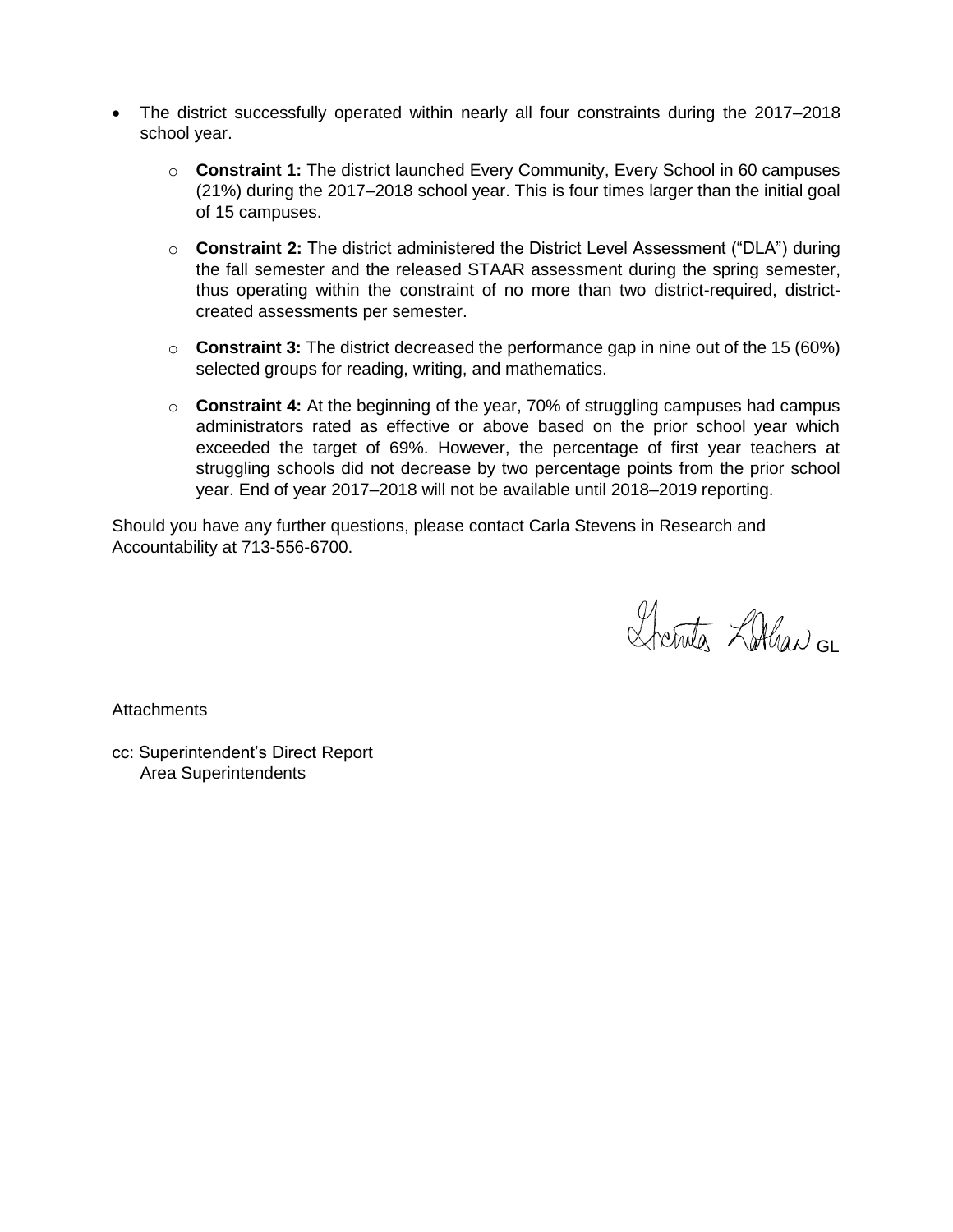- The district successfully operated within nearly all four constraints during the 2017–2018 school year.
	- o **Constraint 1:** The district launched Every Community, Every School in 60 campuses (21%) during the 2017–2018 school year. This is four times larger than the initial goal of 15 campuses.
	- o **Constraint 2:** The district administered the District Level Assessment ("DLA") during the fall semester and the released STAAR assessment during the spring semester, thus operating within the constraint of no more than two district-required, districtcreated assessments per semester.
	- o **Constraint 3:** The district decreased the performance gap in nine out of the 15 (60%) selected groups for reading, writing, and mathematics.
	- o **Constraint 4:** At the beginning of the year, 70% of struggling campuses had campus administrators rated as effective or above based on the prior school year which exceeded the target of 69%. However, the percentage of first year teachers at struggling schools did not decrease by two percentage points from the prior school year. End of year 2017–2018 will not be available until 2018–2019 reporting.

Should you have any further questions, please contact Carla Stevens in Research and Accountability at 713-556-6700.

Drents Lithan GL

**Attachments** 

cc: Superintendent's Direct Report Area Superintendents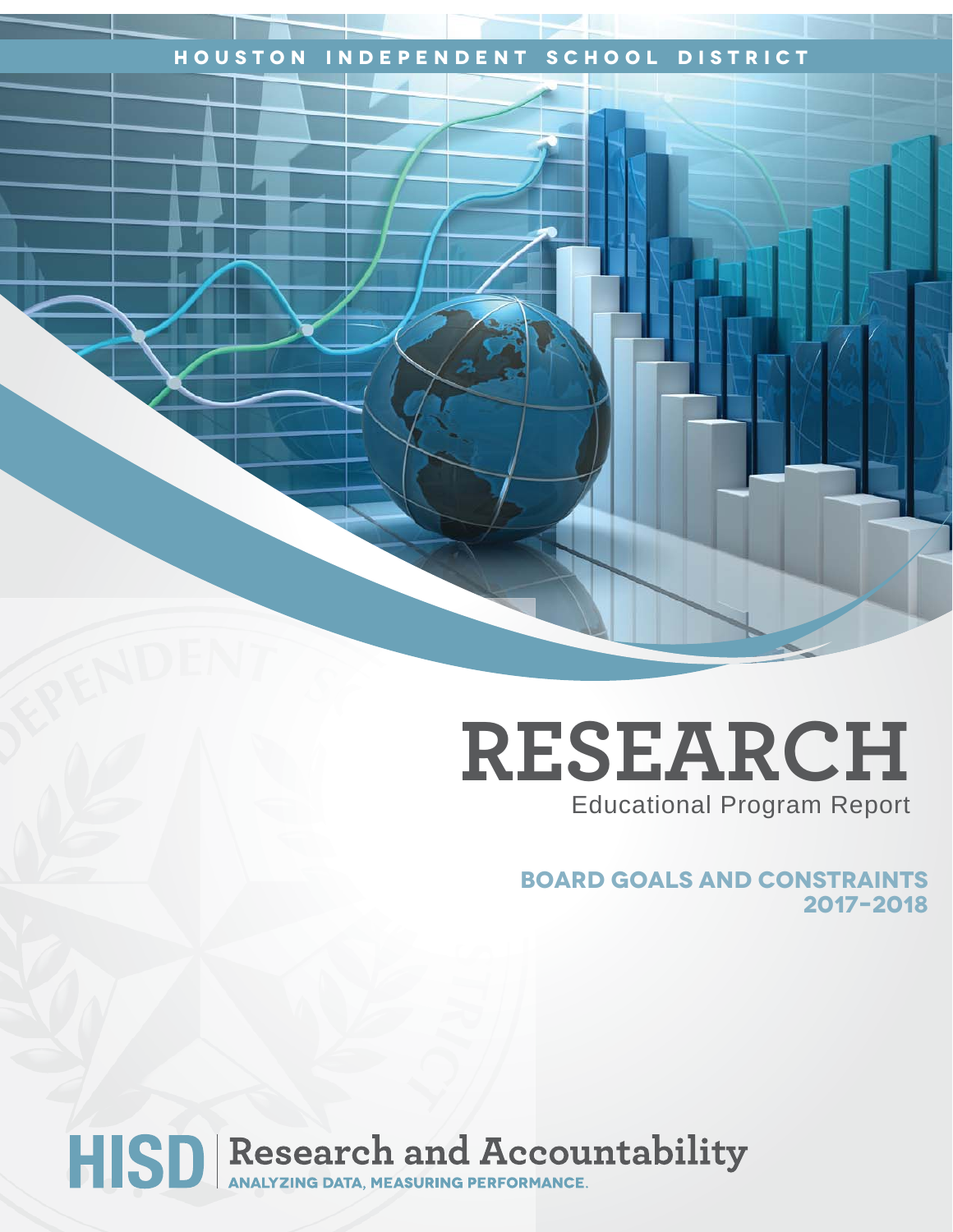## **Houston Independent School District**

# **RESEARCH** Educational Program Report

 **Board Goals and Constraints 2017–2018**

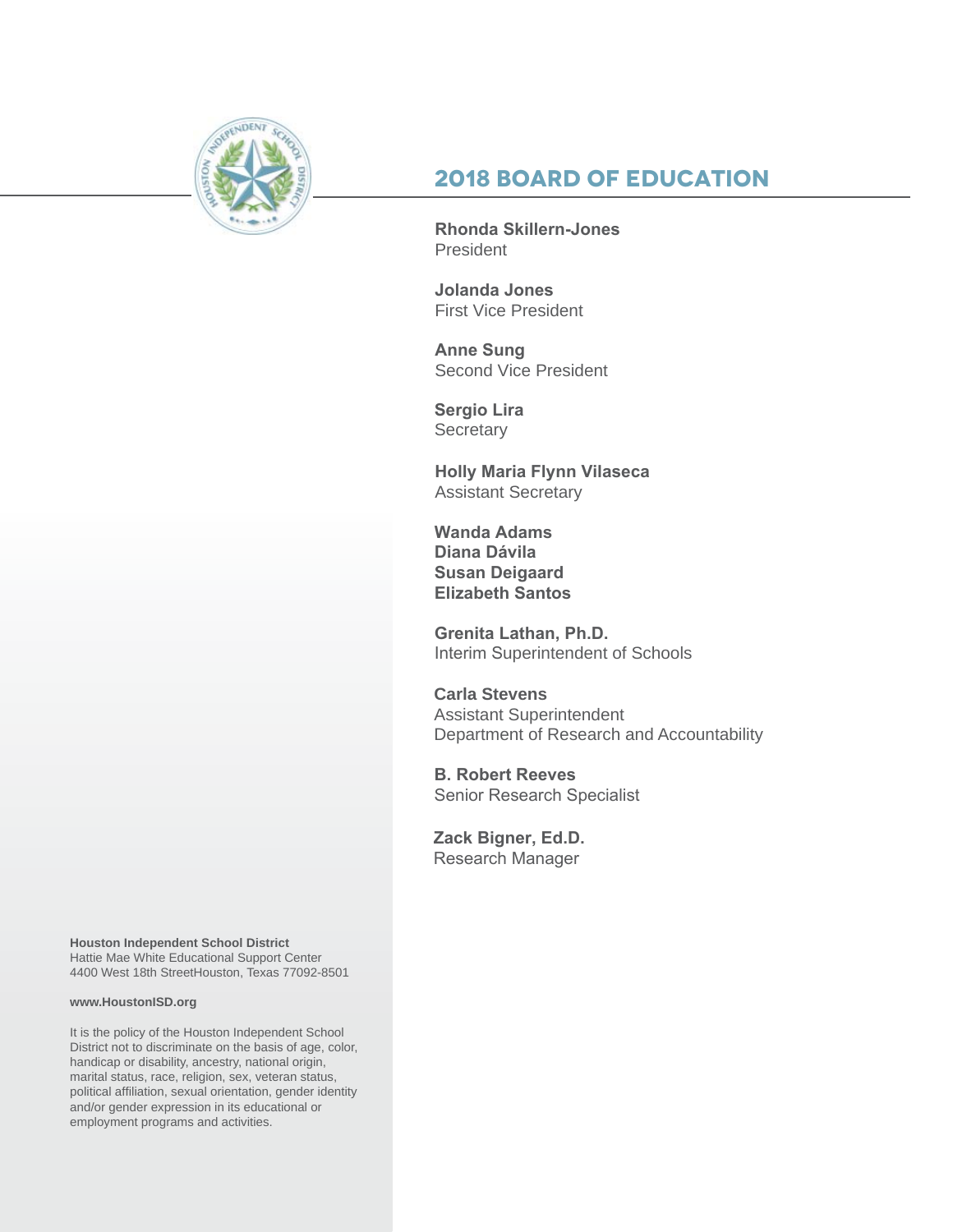

# **2018 Board of Education**

**Rhonda Skillern-Jones** President

**Jolanda Jones** First Vice President

**Anne Sung**  Second Vice President

**Sergio Lira Secretary** 

**Holly Maria Flynn Vilaseca**  Assistant Secretary

**Wanda Adams Diana Dávila Susan Deigaard Elizabeth Santos**

**Grenita Lathan, Ph.D.** Interim Superintendent of Schools

**Carla Stevens** Assistant Superintendent Department of Research and Accountability

**B. Robert Reeves**  Senior Research Specialist

**Zack Bigner, Ed.D.** Research Manager

**Houston Independent School District** Hattie Mae White Educational Support Center 4400 West 18th StreetHouston, Texas 77092-8501

#### **www.HoustonISD.org**

It is the policy of the Houston Independent School District not to discriminate on the basis of age, color, handicap or disability, ancestry, national origin, marital status, race, religion, sex, veteran status, political affiliation, sexual orientation, gender identity and/or gender expression in its educational or employment programs and activities.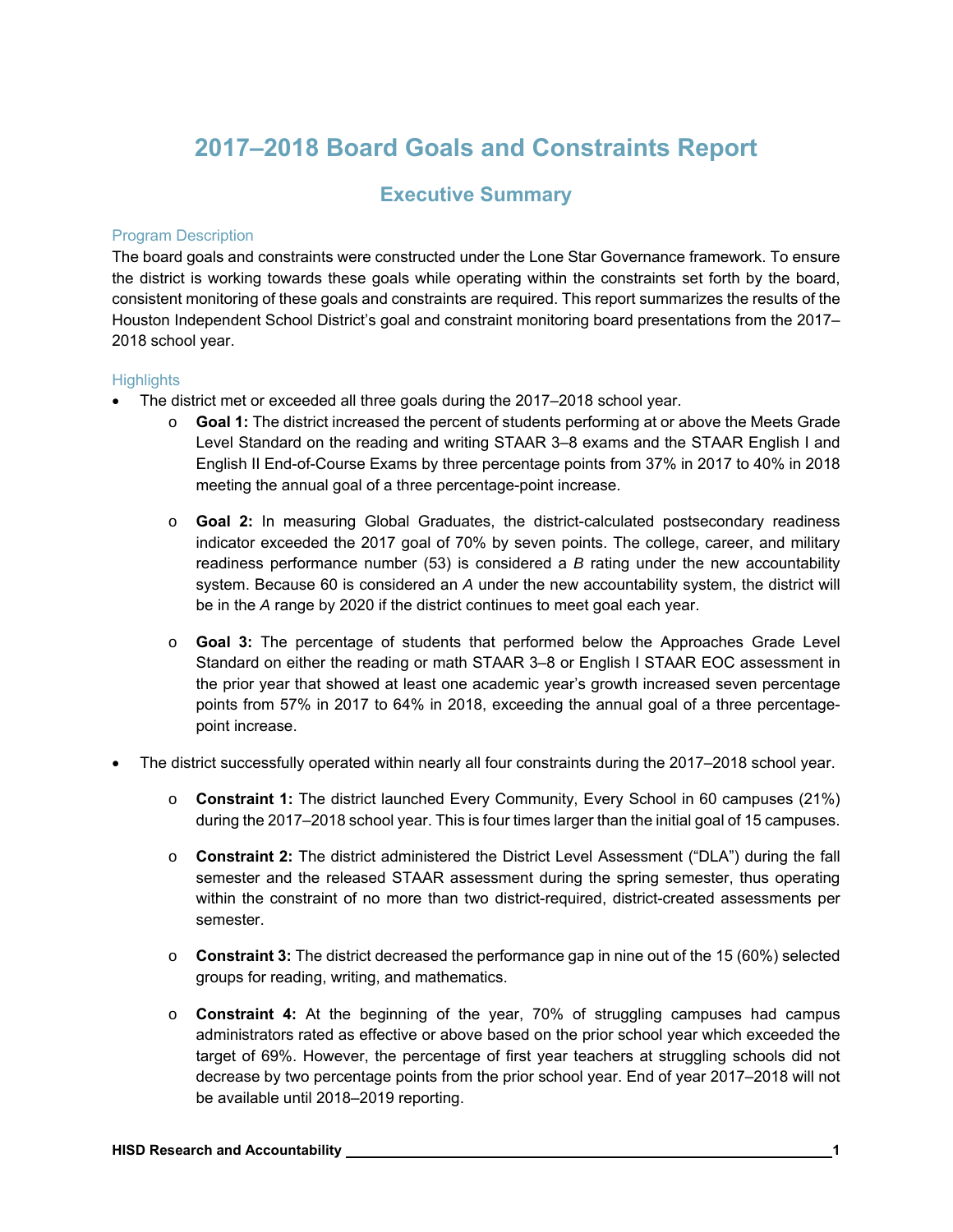# **2017–2018 Board Goals and Constraints Report**

#### **Executive Summary**

#### Program Description

The board goals and constraints were constructed under the Lone Star Governance framework. To ensure the district is working towards these goals while operating within the constraints set forth by the board, consistent monitoring of these goals and constraints are required. This report summarizes the results of the Houston Independent School District's goal and constraint monitoring board presentations from the 2017– 2018 school year.

#### **Highlights**

- The district met or exceeded all three goals during the 2017–2018 school year.
	- o **Goal 1:** The district increased the percent of students performing at or above the Meets Grade Level Standard on the reading and writing STAAR 3–8 exams and the STAAR English I and English II End-of-Course Exams by three percentage points from 37% in 2017 to 40% in 2018 meeting the annual goal of a three percentage-point increase.
	- o **Goal 2:** In measuring Global Graduates, the district-calculated postsecondary readiness indicator exceeded the 2017 goal of 70% by seven points. The college, career, and military readiness performance number (53) is considered a *B* rating under the new accountability system. Because 60 is considered an *A* under the new accountability system, the district will be in the *A* range by 2020 if the district continues to meet goal each year.
	- o **Goal 3:** The percentage of students that performed below the Approaches Grade Level Standard on either the reading or math STAAR 3–8 or English I STAAR EOC assessment in the prior year that showed at least one academic year's growth increased seven percentage points from 57% in 2017 to 64% in 2018, exceeding the annual goal of a three percentagepoint increase.
- The district successfully operated within nearly all four constraints during the 2017–2018 school year.
	- o **Constraint 1:** The district launched Every Community, Every School in 60 campuses (21%) during the 2017–2018 school year. This is four times larger than the initial goal of 15 campuses.
	- o **Constraint 2:** The district administered the District Level Assessment ("DLA") during the fall semester and the released STAAR assessment during the spring semester, thus operating within the constraint of no more than two district-required, district-created assessments per semester.
	- o **Constraint 3:** The district decreased the performance gap in nine out of the 15 (60%) selected groups for reading, writing, and mathematics.
	- o **Constraint 4:** At the beginning of the year, 70% of struggling campuses had campus administrators rated as effective or above based on the prior school year which exceeded the target of 69%. However, the percentage of first year teachers at struggling schools did not decrease by two percentage points from the prior school year. End of year 2017–2018 will not be available until 2018–2019 reporting.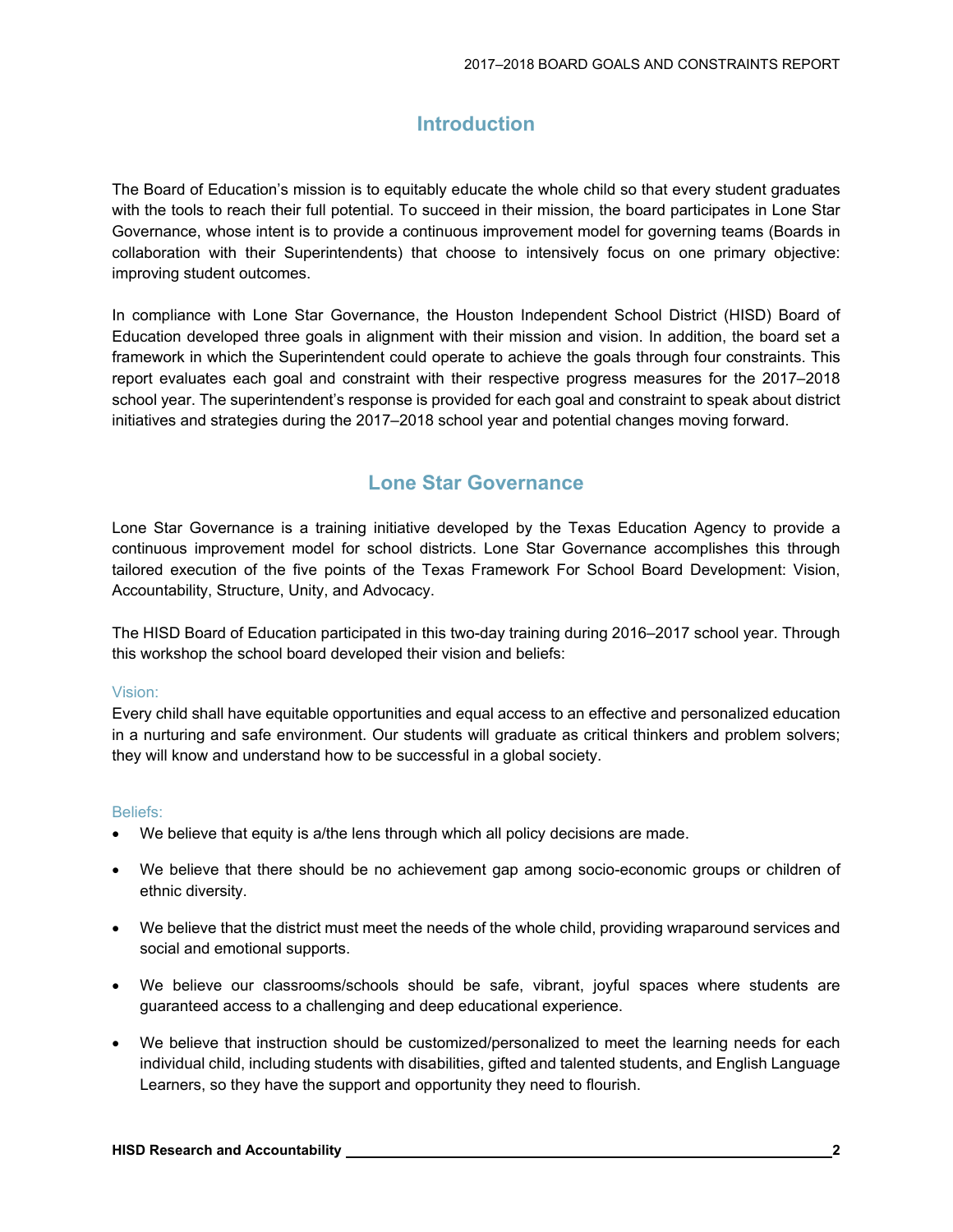## **Introduction**

The Board of Education's mission is to equitably educate the whole child so that every student graduates with the tools to reach their full potential. To succeed in their mission, the board participates in Lone Star Governance, whose intent is to provide a continuous improvement model for governing teams (Boards in collaboration with their Superintendents) that choose to intensively focus on one primary objective: improving student outcomes.

In compliance with Lone Star Governance, the Houston Independent School District (HISD) Board of Education developed three goals in alignment with their mission and vision. In addition, the board set a framework in which the Superintendent could operate to achieve the goals through four constraints. This report evaluates each goal and constraint with their respective progress measures for the 2017–2018 school year. The superintendent's response is provided for each goal and constraint to speak about district initiatives and strategies during the 2017–2018 school year and potential changes moving forward.

#### **Lone Star Governance**

Lone Star Governance is a training initiative developed by the Texas Education Agency to provide a continuous improvement model for school districts. Lone Star Governance accomplishes this through tailored execution of the five points of the Texas Framework For School Board Development: Vision, Accountability, Structure, Unity, and Advocacy.

The HISD Board of Education participated in this two-day training during 2016–2017 school year. Through this workshop the school board developed their vision and beliefs:

#### Vision:

Every child shall have equitable opportunities and equal access to an effective and personalized education in a nurturing and safe environment. Our students will graduate as critical thinkers and problem solvers; they will know and understand how to be successful in a global society.

#### Beliefs:

- We believe that equity is a/the lens through which all policy decisions are made.
- We believe that there should be no achievement gap among socio-economic groups or children of ethnic diversity.
- We believe that the district must meet the needs of the whole child, providing wraparound services and social and emotional supports.
- We believe our classrooms/schools should be safe, vibrant, joyful spaces where students are guaranteed access to a challenging and deep educational experience.
- We believe that instruction should be customized/personalized to meet the learning needs for each individual child, including students with disabilities, gifted and talented students, and English Language Learners, so they have the support and opportunity they need to flourish.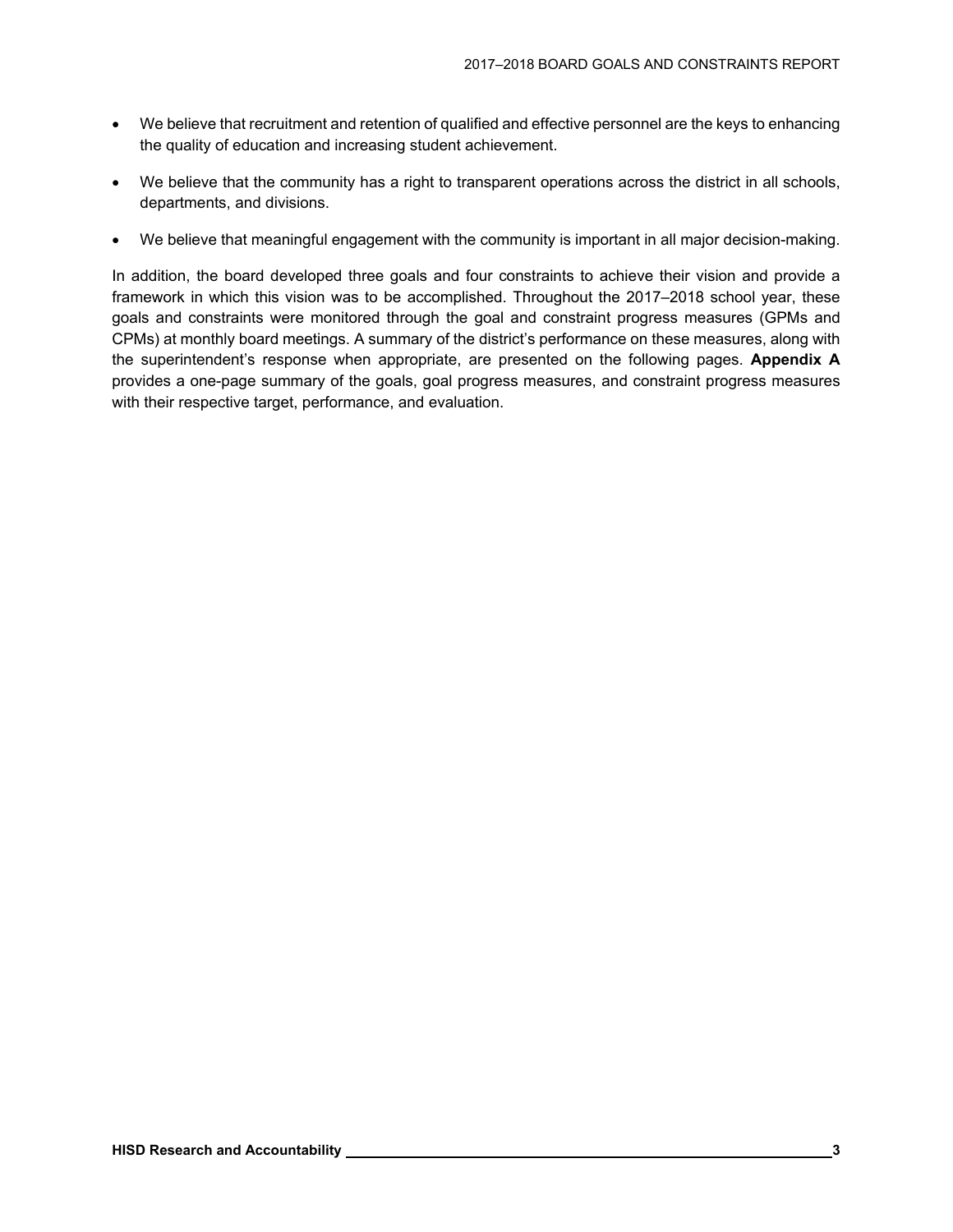- We believe that recruitment and retention of qualified and effective personnel are the keys to enhancing the quality of education and increasing student achievement.
- We believe that the community has a right to transparent operations across the district in all schools, departments, and divisions.
- We believe that meaningful engagement with the community is important in all major decision-making.

In addition, the board developed three goals and four constraints to achieve their vision and provide a framework in which this vision was to be accomplished. Throughout the 2017–2018 school year, these goals and constraints were monitored through the goal and constraint progress measures (GPMs and CPMs) at monthly board meetings. A summary of the district's performance on these measures, along with the superintendent's response when appropriate, are presented on the following pages. **Appendix A**  provides a one-page summary of the goals, goal progress measures, and constraint progress measures with their respective target, performance, and evaluation.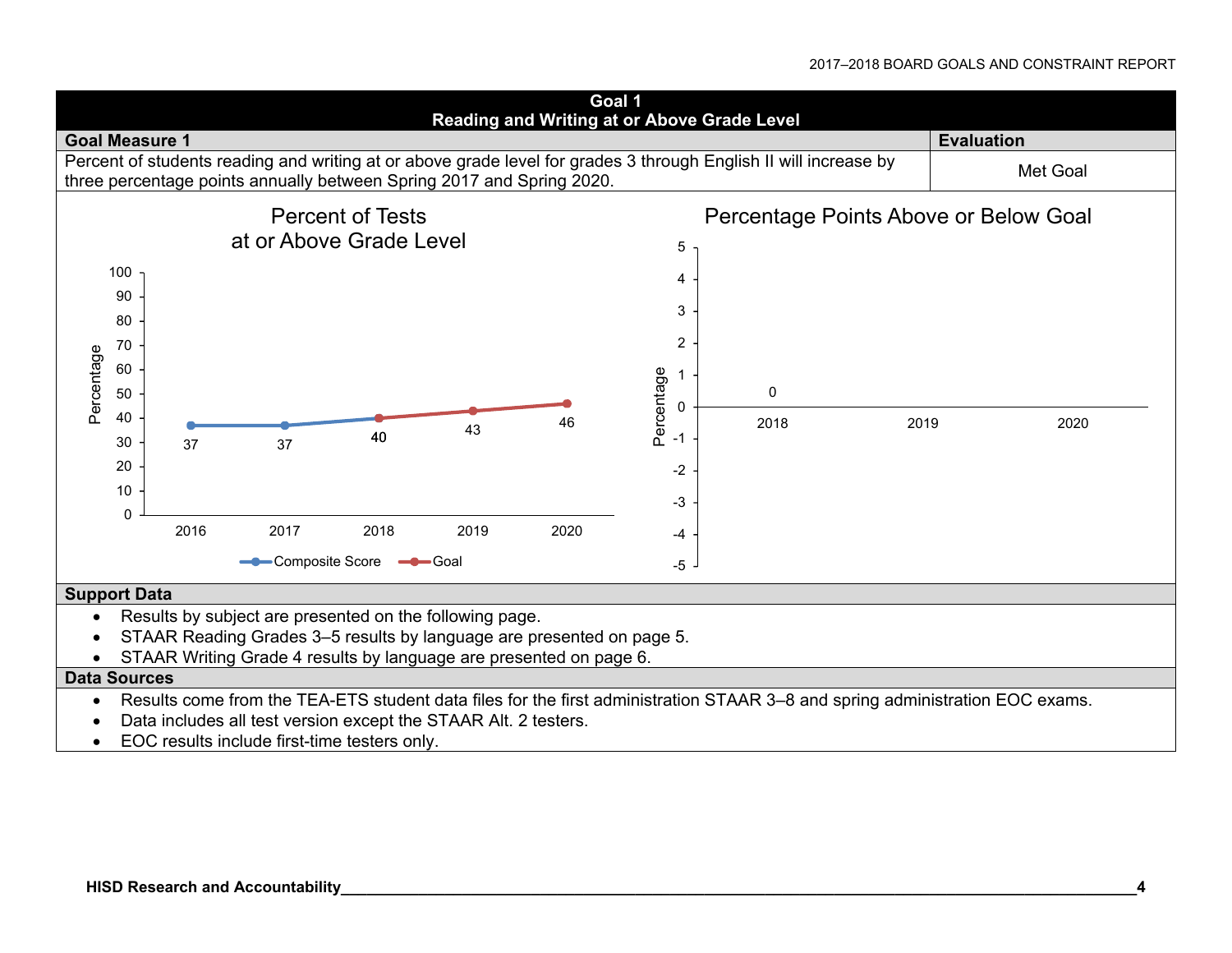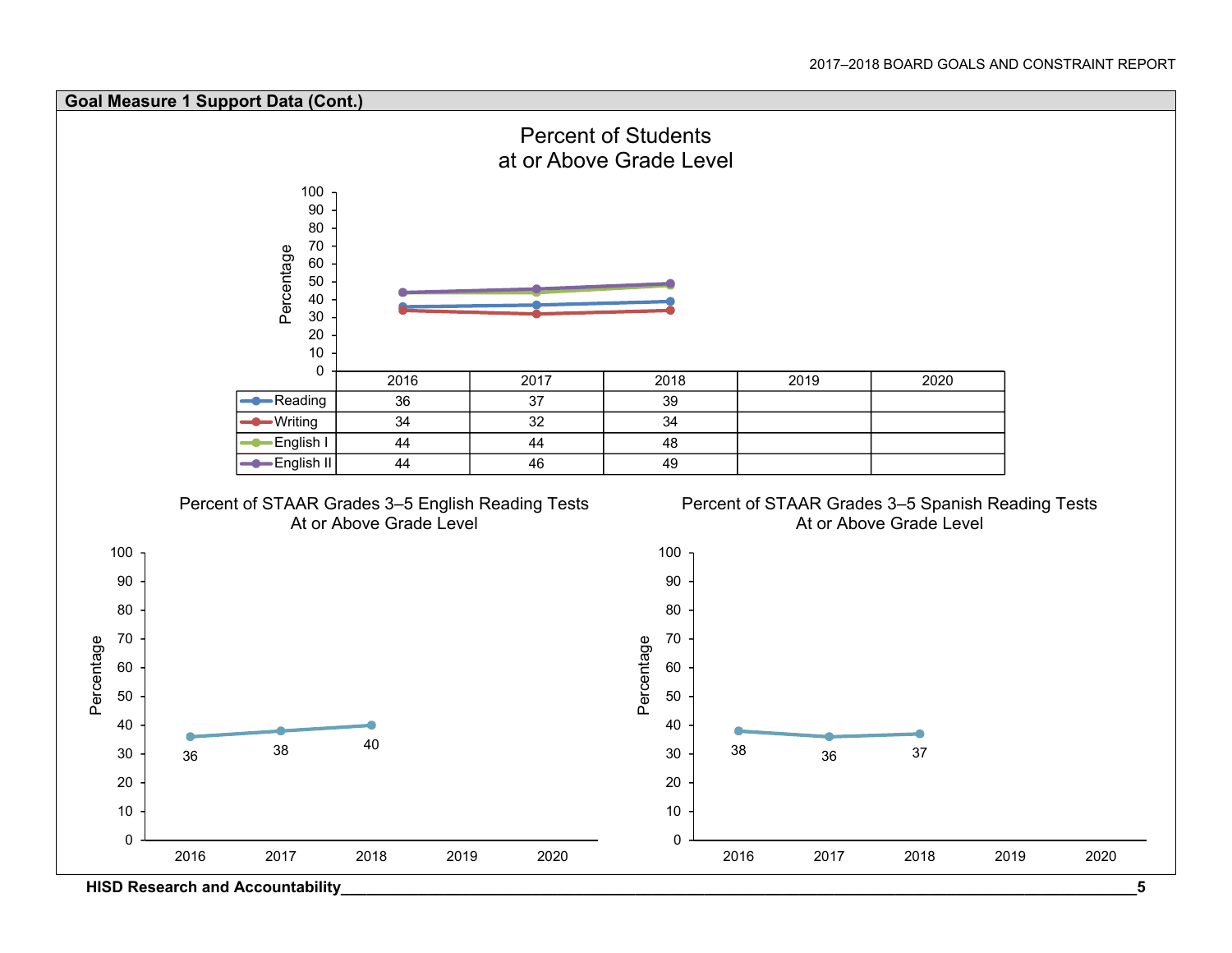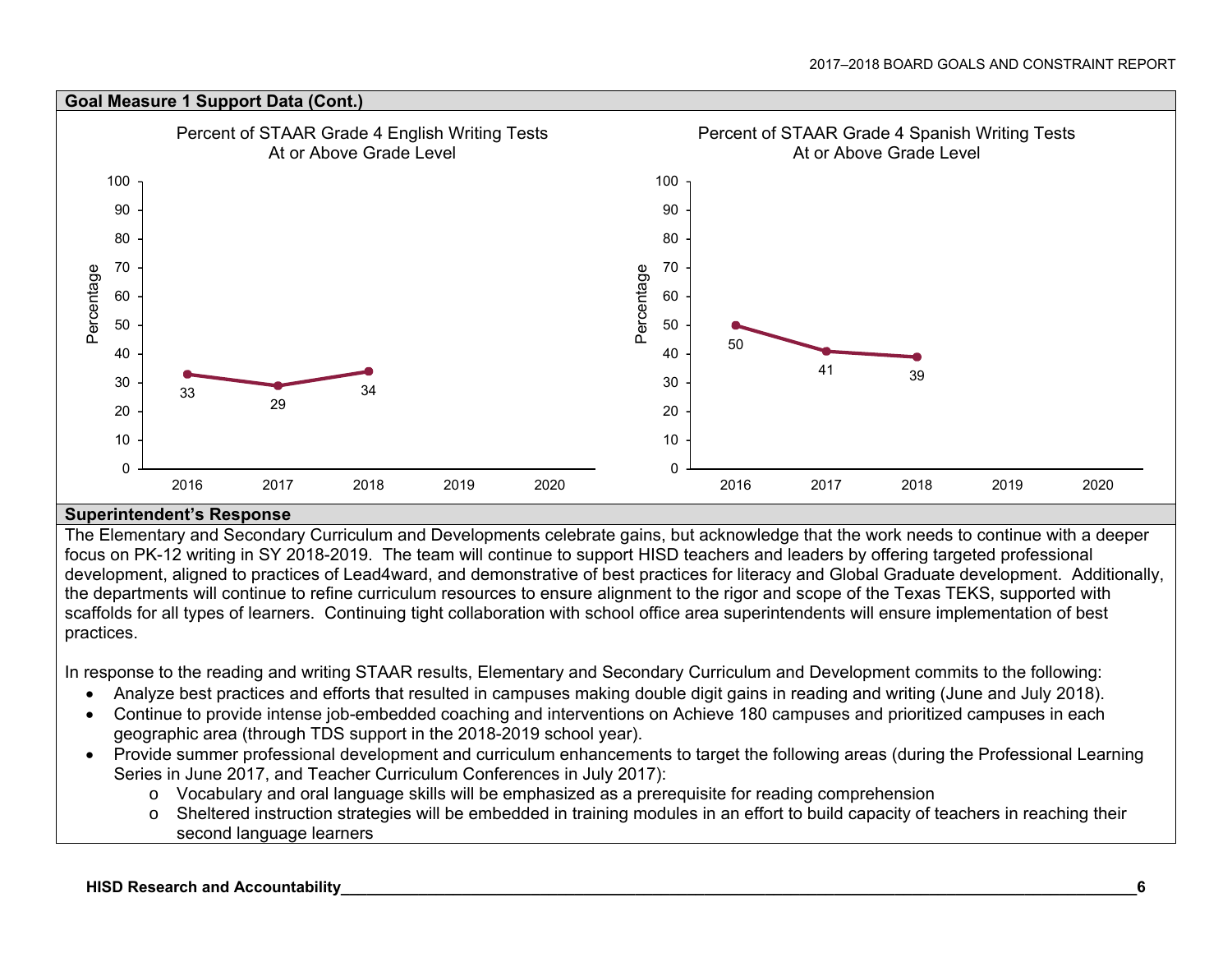

#### **Superintendent's Response**

The Elementary and Secondary Curriculum and Developments celebrate gains, but acknowledge that the work needs to continue with a deeper focus on PK-12 writing in SY 2018-2019. The team will continue to support HISD teachers and leaders by offering targeted professional development, aligned to practices of Lead4ward, and demonstrative of best practices for literacy and Global Graduate development. Additionally, the departments will continue to refine curriculum resources to ensure alignment to the rigor and scope of the Texas TEKS, supported with scaffolds for all types of learners. Continuing tight collaboration with school office area superintendents will ensure implementation of best practices.

In response to the reading and writing STAAR results, Elementary and Secondary Curriculum and Development commits to the following:

- Analyze best practices and efforts that resulted in campuses making double digit gains in reading and writing (June and July 2018).
- Continue to provide intense job-embedded coaching and interventions on Achieve 180 campuses and prioritized campuses in each geographic area (through TDS support in the 2018-2019 school year).
- Provide summer professional development and curriculum enhancements to target the following areas (during the Professional Learning Series in June 2017, and Teacher Curriculum Conferences in July 2017):
	- <sup>o</sup> Vocabulary and oral language skills will be emphasized as a prerequisite for reading comprehension
	- <sup>o</sup> Sheltered instruction strategies will be embedded in training modules in an effort to build capacity of teachers in reaching their second language learners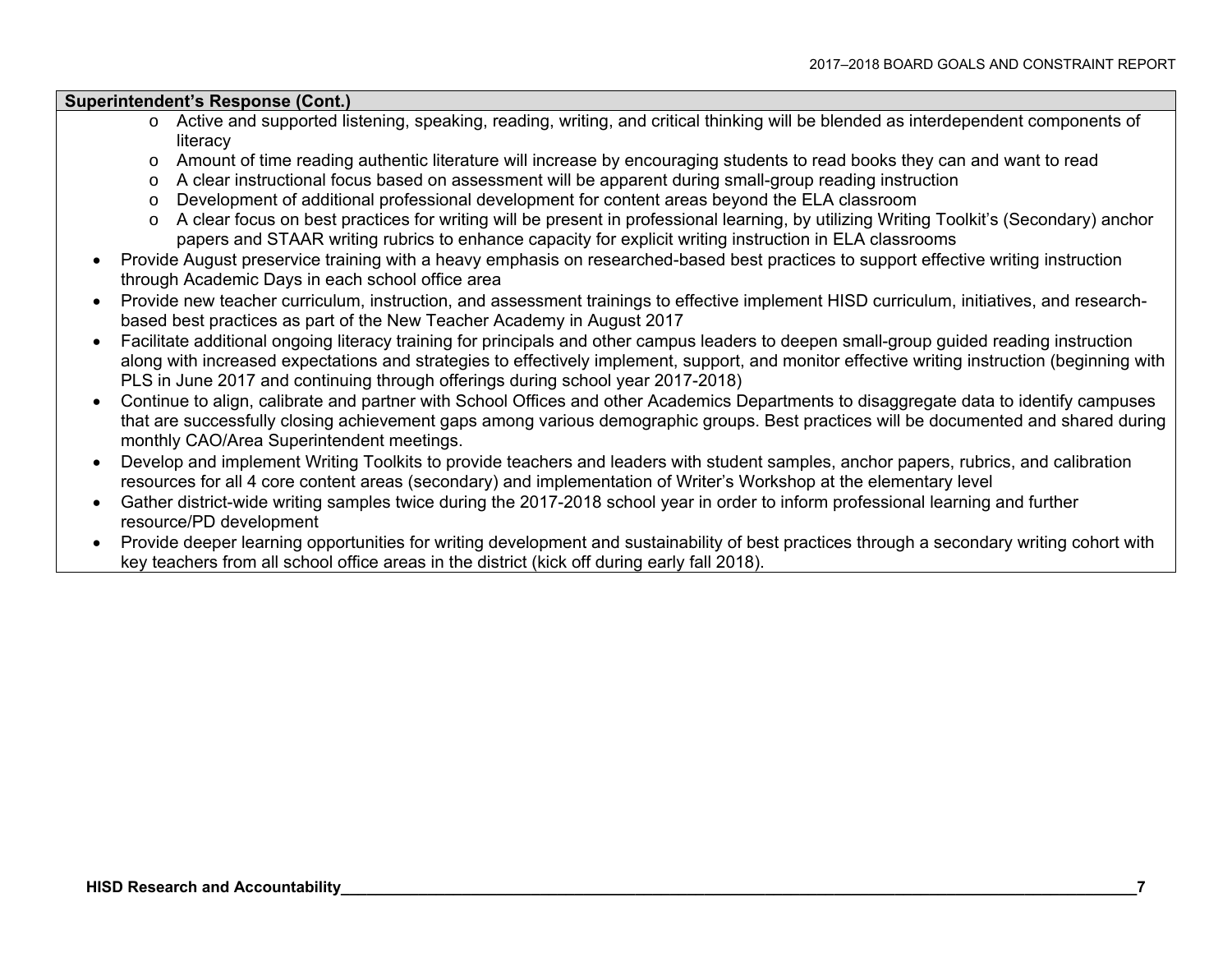#### **Superintendent's Response (Cont.)**

- <sup>o</sup> Active and supported listening, speaking, reading, writing, and critical thinking will be blended as interdependent components of literacy
- <sup>o</sup> Amount of time reading authentic literature will increase by encouraging students to read books they can and want to read
- <sup>o</sup> A clear instructional focus based on assessment will be apparent during small-group reading instruction
- <sup>o</sup> Development of additional professional development for content areas beyond the ELA classroom
- <sup>o</sup> A clear focus on best practices for writing will be present in professional learning, by utilizing Writing Toolkit's (Secondary) anchor papers and STAAR writing rubrics to enhance capacity for explicit writing instruction in ELA classrooms
- Provide August preservice training with a heavy emphasis on researched-based best practices to support effective writing instruction through Academic Days in each school office area
- Provide new teacher curriculum, instruction, and assessment trainings to effective implement HISD curriculum, initiatives, and researchbased best practices as part of the New Teacher Academy in August 2017
- Facilitate additional ongoing literacy training for principals and other campus leaders to deepen small-group guided reading instruction along with increased expectations and strategies to effectively implement, support, and monitor effective writing instruction (beginning with PLS in June 2017 and continuing through offerings during school year 2017-2018)
- Continue to align, calibrate and partner with School Offices and other Academics Departments to disaggregate data to identify campuses that are successfully closing achievement gaps among various demographic groups. Best practices will be documented and shared during monthly CAO/Area Superintendent meetings.
- Develop and implement Writing Toolkits to provide teachers and leaders with student samples, anchor papers, rubrics, and calibration resources for all 4 core content areas (secondary) and implementation of Writer's Workshop at the elementary level
- Gather district-wide writing samples twice during the 2017-2018 school year in order to inform professional learning and further resource/PD development
- Provide deeper learning opportunities for writing development and sustainability of best practices through a secondary writing cohort with key teachers from all school office areas in the district (kick off during early fall 2018).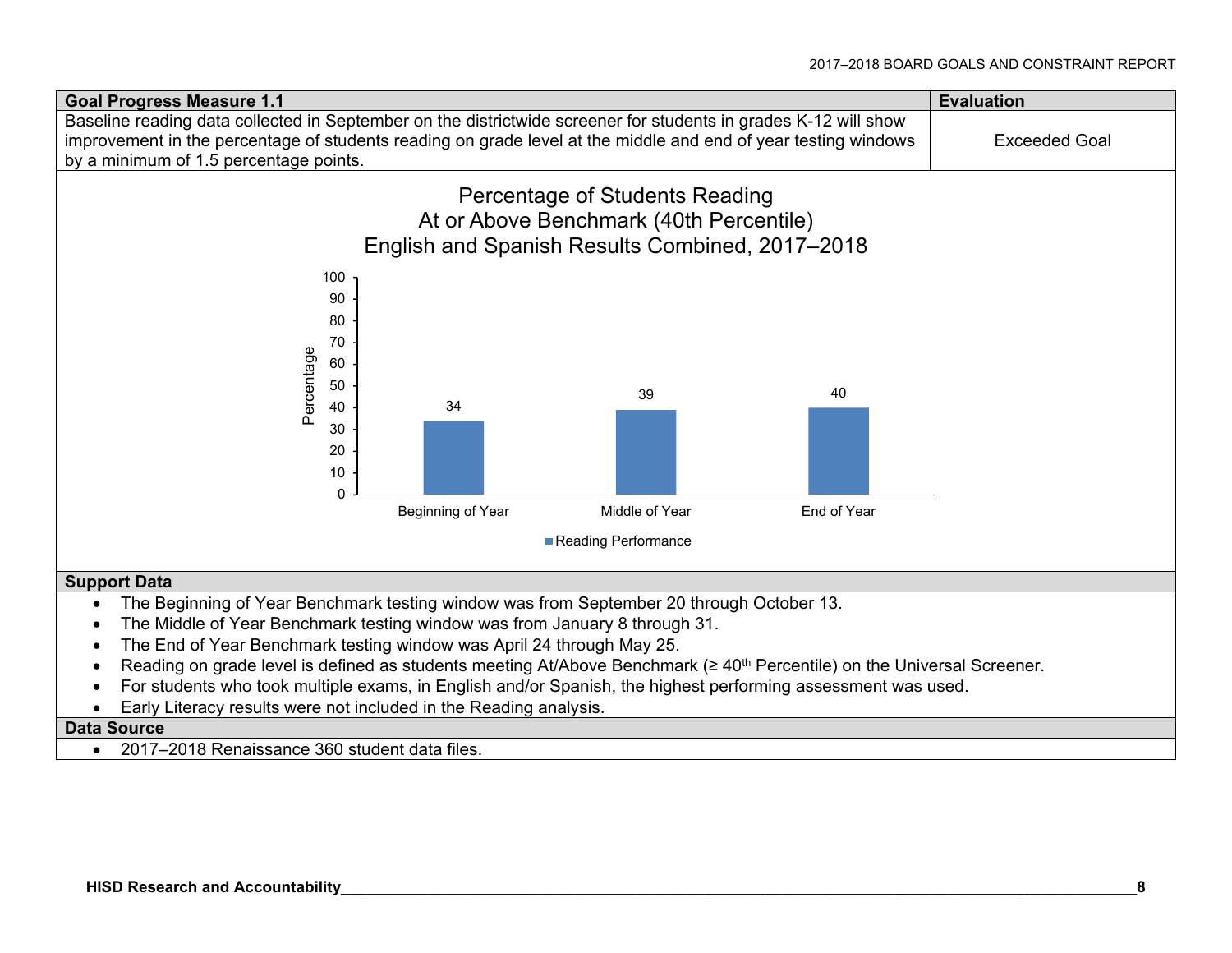

2017–2018 Renaissance 360 student data files.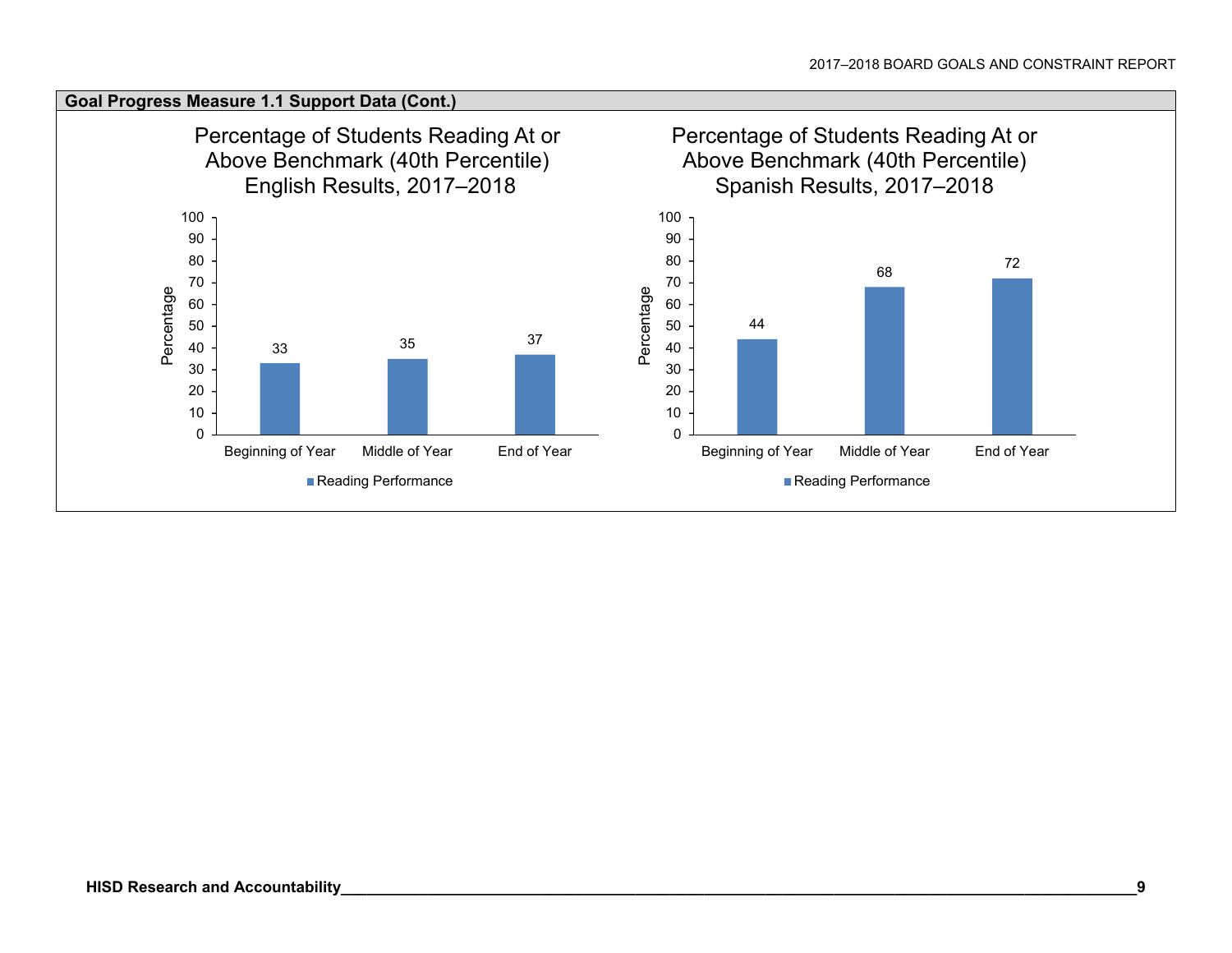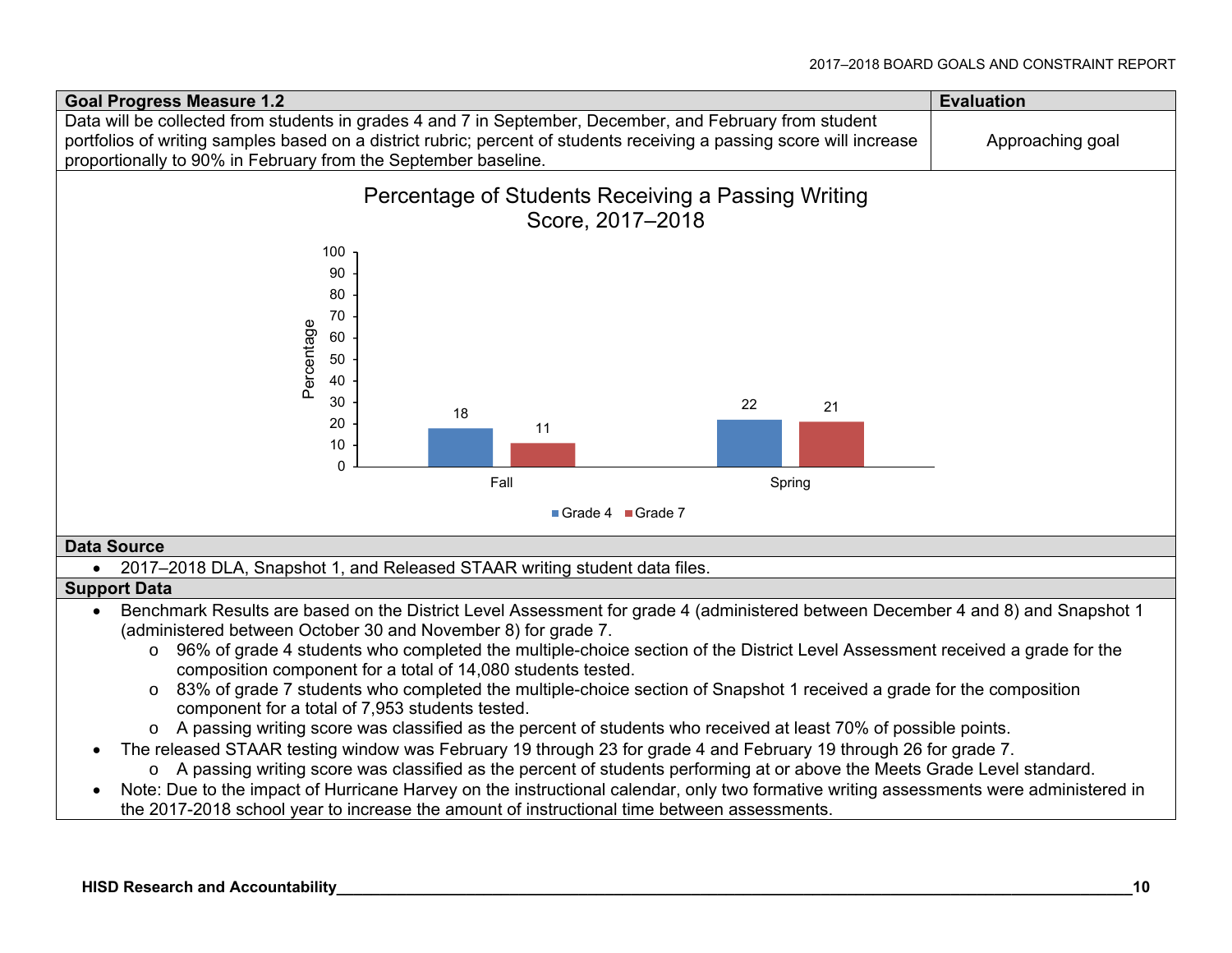

- The released STAAR testing window was February 19 through 23 for grade 4 and February 19 through 26 for grade 7.
	- <sup>o</sup> A passing writing score was classified as the percent of students performing at or above the Meets Grade Level standard.
- Note: Due to the impact of Hurricane Harvey on the instructional calendar, only two formative writing assessments were administered in the 2017-2018 school year to increase the amount of instructional time between assessments.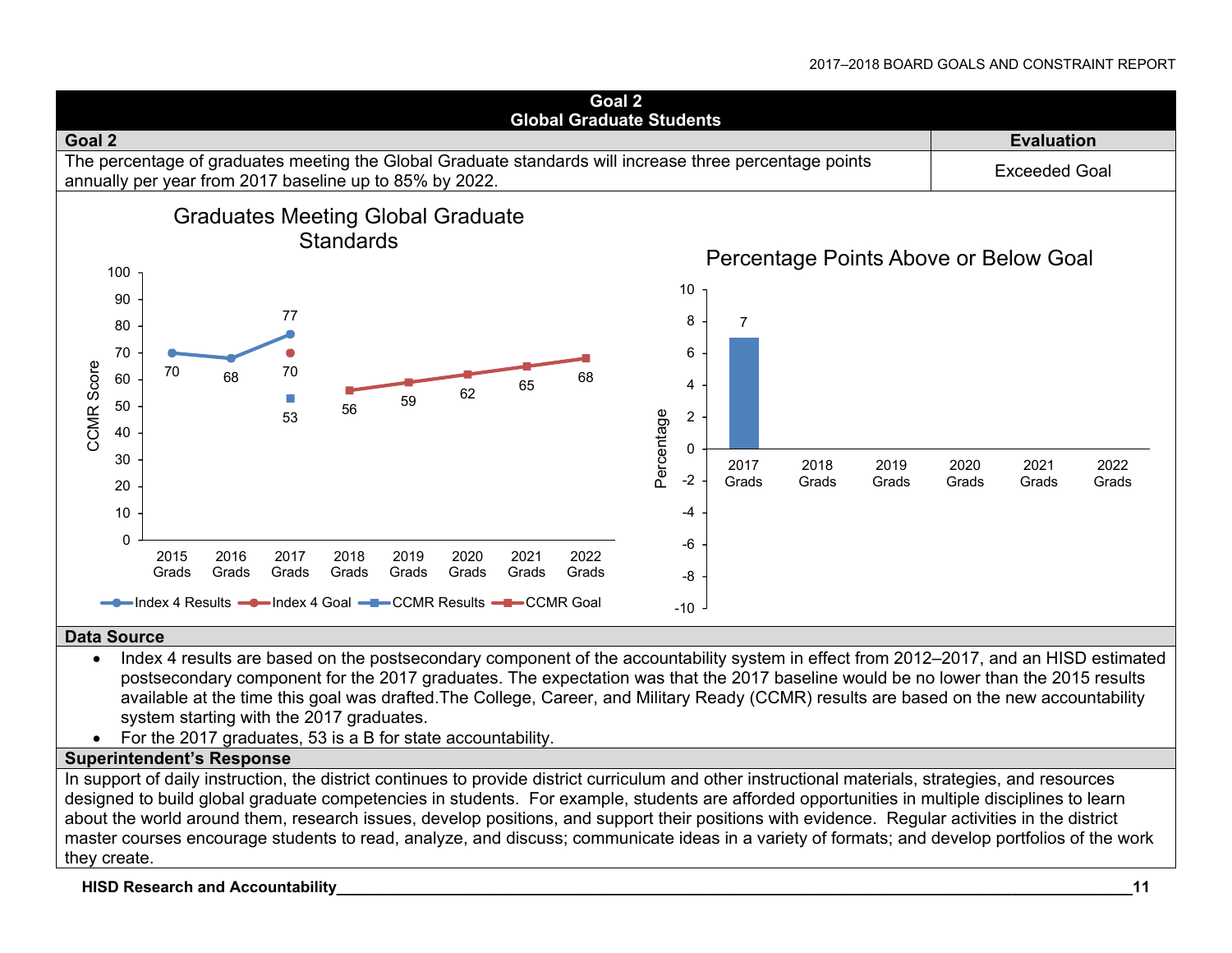

#### **Data Source**

- Index 4 results are based on the postsecondary component of the accountability system in effect from 2012–2017, and an HISD estimated postsecondary component for the 2017 graduates. The expectation was that the 2017 baseline would be no lower than the 2015 results available at the time this goal was drafted.The College, Career, and Military Ready (CCMR) results are based on the new accountability system starting with the 2017 graduates.
- For the 2017 graduates, 53 is a B for state accountability.

#### **Superintendent's Response**

In support of daily instruction, the district continues to provide district curriculum and other instructional materials, strategies, and resources designed to build global graduate competencies in students. For example, students are afforded opportunities in multiple disciplines to learn about the world around them, research issues, develop positions, and support their positions with evidence. Regular activities in the district master courses encourage students to read, analyze, and discuss; communicate ideas in a variety of formats; and develop portfolios of the work they create.

#### **HISD Research and Accountability\_\_\_\_\_\_\_\_\_\_\_\_\_\_\_\_\_\_\_\_\_\_\_\_\_\_\_\_\_\_\_\_\_\_\_\_\_\_\_\_\_\_\_\_\_\_\_\_\_\_\_\_\_\_\_\_\_\_\_\_\_\_\_\_\_\_\_\_\_\_\_\_\_\_\_\_\_\_\_\_\_\_\_\_\_\_\_\_\_\_\_\_11**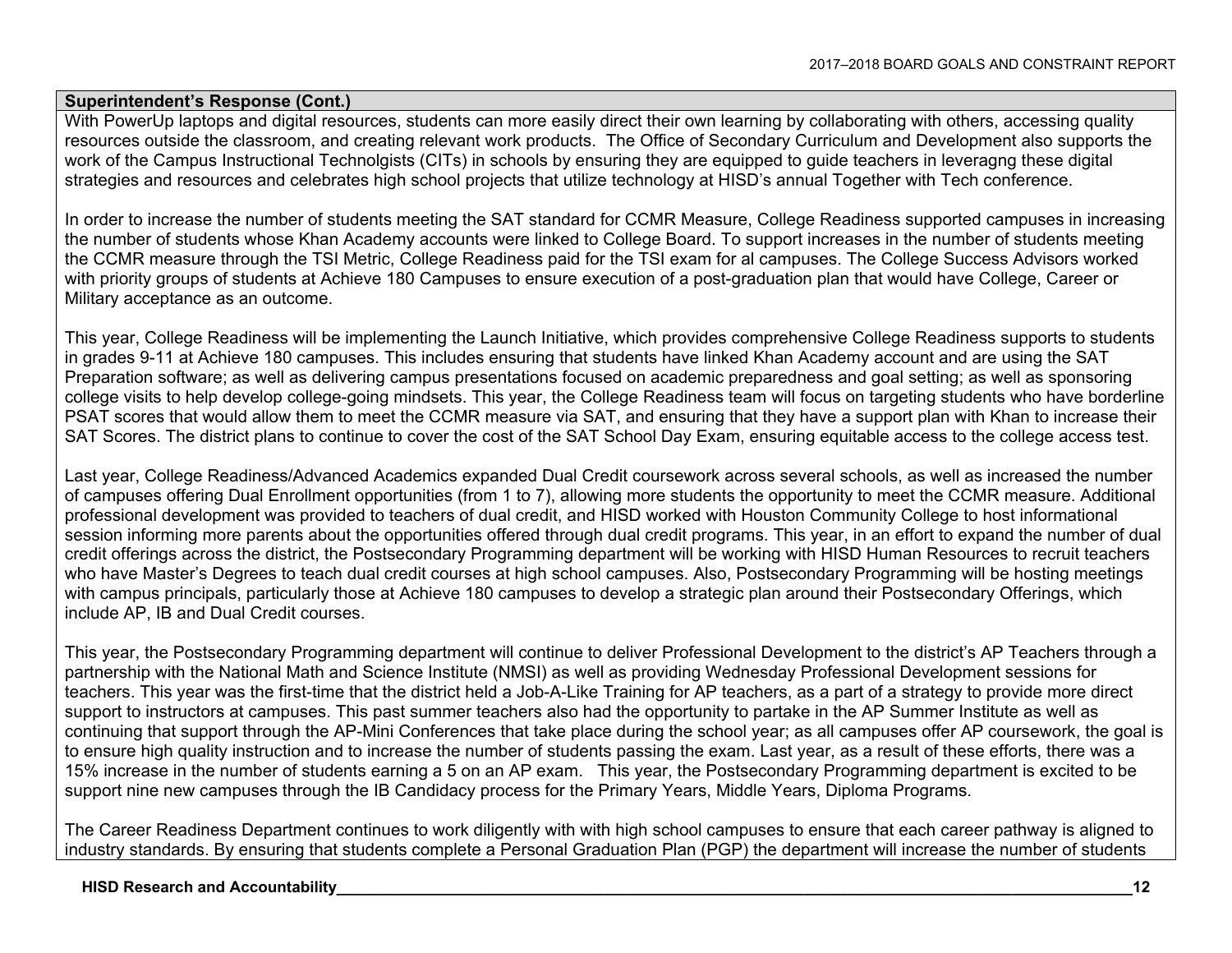#### **Superintendent's Response (Cont.)**

With PowerUp laptops and digital resources, students can more easily direct their own learning by collaborating with others, accessing quality resources outside the classroom, and creating relevant work products. The Office of Secondary Curriculum and Development also supports the work of the Campus Instructional Technolgists (CITs) in schools by ensuring they are equipped to guide teachers in leveragng these digital strategies and resources and celebrates high school projects that utilize technology at HISD's annual Together with Tech conference.

In order to increase the number of students meeting the SAT standard for CCMR Measure, College Readiness supported campuses in increasing the number of students whose Khan Academy accounts were linked to College Board. To support increases in the number of students meeting the CCMR measure through the TSI Metric, College Readiness paid for the TSI exam for al campuses. The College Success Advisors worked with priority groups of students at Achieve 180 Campuses to ensure execution of a post-graduation plan that would have College, Career or Military acceptance as an outcome.

This year, College Readiness will be implementing the Launch Initiative, which provides comprehensive College Readiness supports to students in grades 9-11 at Achieve 180 campuses. This includes ensuring that students have linked Khan Academy account and are using the SAT Preparation software; as well as delivering campus presentations focused on academic preparedness and goal setting; as well as sponsoring college visits to help develop college-going mindsets. This year, the College Readiness team will focus on targeting students who have borderline PSAT scores that would allow them to meet the CCMR measure via SAT, and ensuring that they have a support plan with Khan to increase their SAT Scores. The district plans to continue to cover the cost of the SAT School Day Exam, ensuring equitable access to the college access test.

Last year, College Readiness/Advanced Academics expanded Dual Credit coursework across several schools, as well as increased the number of campuses offering Dual Enrollment opportunities (from 1 to 7), allowing more students the opportunity to meet the CCMR measure. Additional professional development was provided to teachers of dual credit, and HISD worked with Houston Community College to host informational session informing more parents about the opportunities offered through dual credit programs. This year, in an effort to expand the number of dual credit offerings across the district, the Postsecondary Programming department will be working with HISD Human Resources to recruit teachers who have Master's Degrees to teach dual credit courses at high school campuses. Also, Postsecondary Programming will be hosting meetings with campus principals, particularly those at Achieve 180 campuses to develop a strategic plan around their Postsecondary Offerings, which include AP, IB and Dual Credit courses.

This year, the Postsecondary Programming department will continue to deliver Professional Development to the district's AP Teachers through a partnership with the National Math and Science Institute (NMSI) as well as providing Wednesday Professional Development sessions for teachers. This year was the first-time that the district held a Job-A-Like Training for AP teachers, as a part of a strategy to provide more direct support to instructors at campuses. This past summer teachers also had the opportunity to partake in the AP Summer Institute as well as continuing that support through the AP-Mini Conferences that take place during the school year; as all campuses offer AP coursework, the goal is to ensure high quality instruction and to increase the number of students passing the exam. Last year, as a result of these efforts, there was a 15% increase in the number of students earning a 5 on an AP exam. This year, the Postsecondary Programming department is excited to be support nine new campuses through the IB Candidacy process for the Primary Years, Middle Years, Diploma Programs.

The Career Readiness Department continues to work diligently with with high school campuses to ensure that each career pathway is aligned to industry standards. By ensuring that students complete a Personal Graduation Plan (PGP) the department will increase the number of students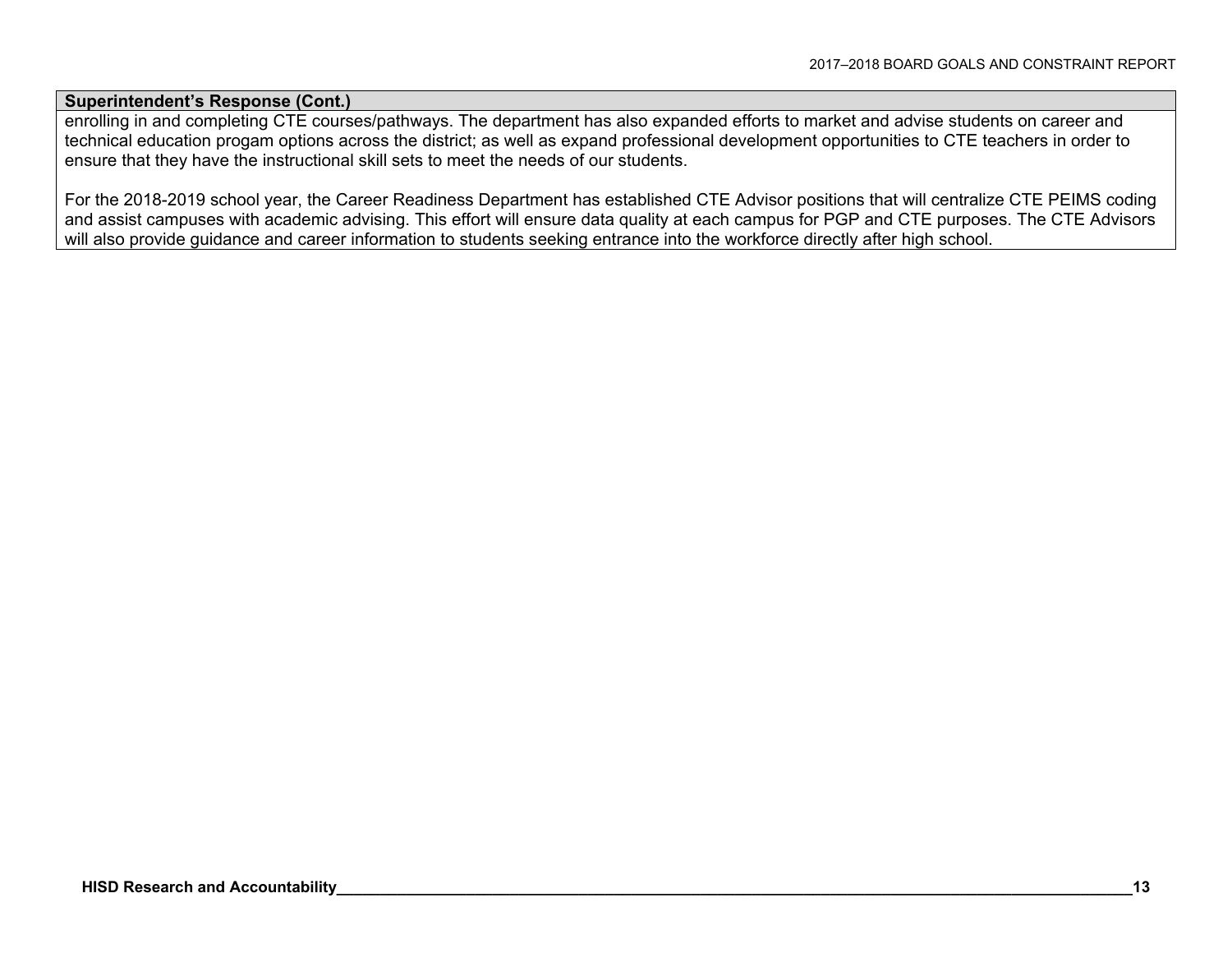#### **Superintendent's Response (Cont.)**

enrolling in and completing CTE courses/pathways. The department has also expanded efforts to market and advise students on career and technical education progam options across the district; as well as expand professional development opportunities to CTE teachers in order to ensure that they have the instructional skill sets to meet the needs of our students.

For the 2018-2019 school year, the Career Readiness Department has established CTE Advisor positions that will centralize CTE PEIMS coding and assist campuses with academic advising. This effort will ensure data quality at each campus for PGP and CTE purposes. The CTE Advisors will also provide guidance and career information to students seeking entrance into the workforce directly after high school.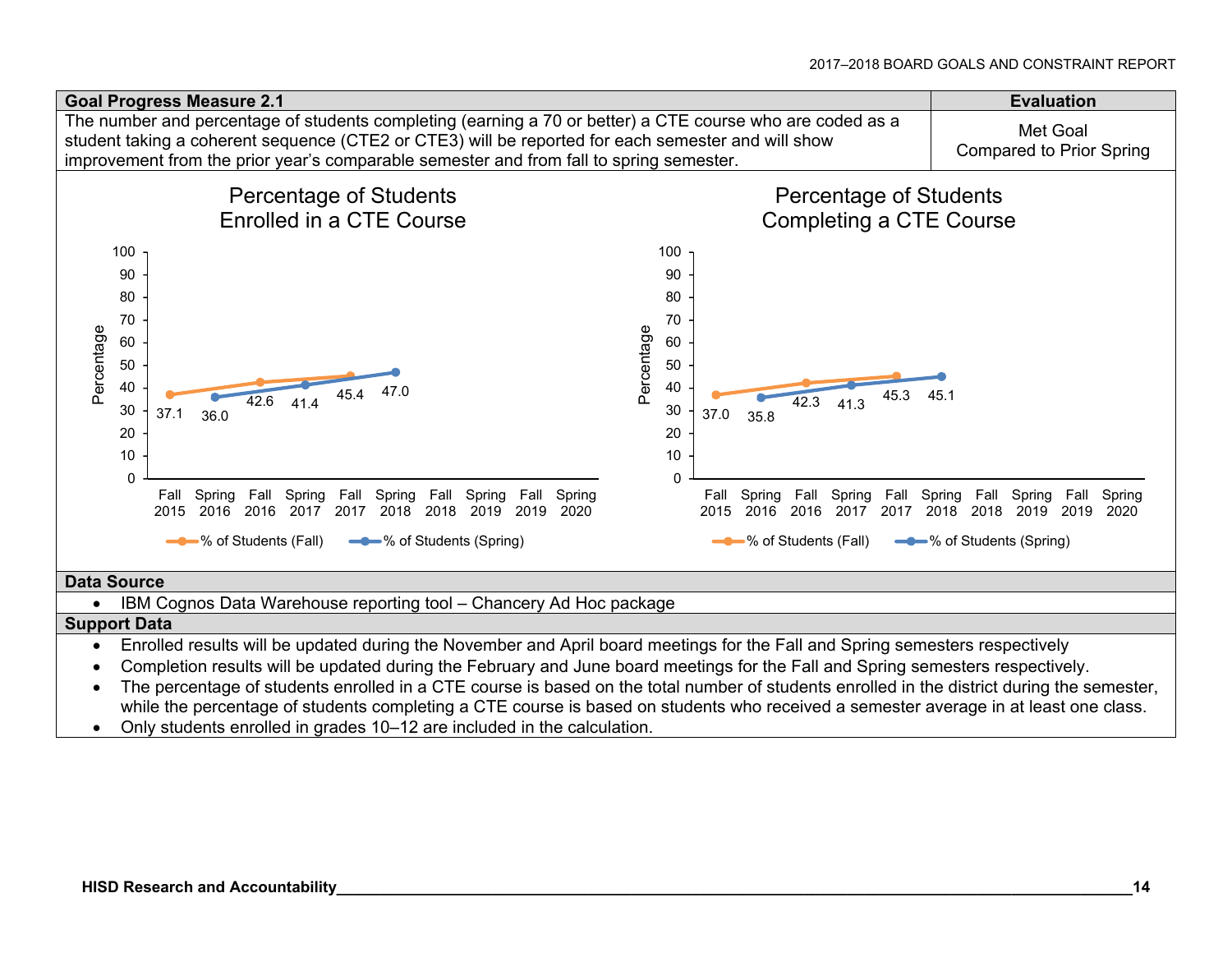

• IBM Cognos Data Warehouse reporting tool – Chancery Ad Hoc package

#### **Support Data**

- Enrolled results will be updated during the November and April board meetings for the Fall and Spring semesters respectively
- Completion results will be updated during the February and June board meetings for the Fall and Spring semesters respectively.
- The percentage of students enrolled in a CTE course is based on the total number of students enrolled in the district during the semester, while the percentage of students completing a CTE course is based on students who received a semester average in at least one class.
- Only students enrolled in grades 10–12 are included in the calculation.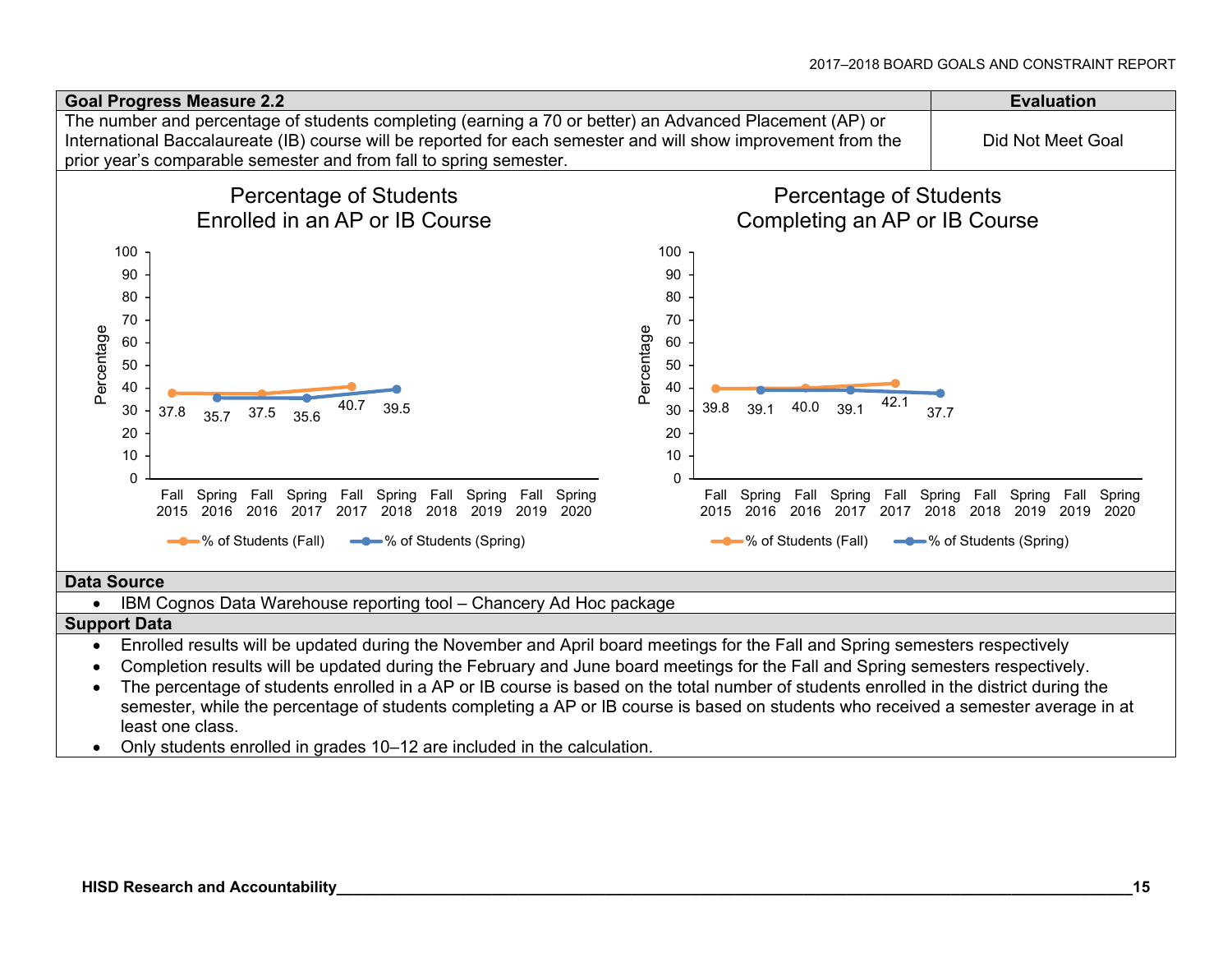

• IBM Cognos Data Warehouse reporting tool – Chancery Ad Hoc package

#### **Support Data**

- Enrolled results will be updated during the November and April board meetings for the Fall and Spring semesters respectively
- Completion results will be updated during the February and June board meetings for the Fall and Spring semesters respectively.
- The percentage of students enrolled in a AP or IB course is based on the total number of students enrolled in the district during the semester, while the percentage of students completing a AP or IB course is based on students who received a semester average in at least one class.
- Only students enrolled in grades 10–12 are included in the calculation.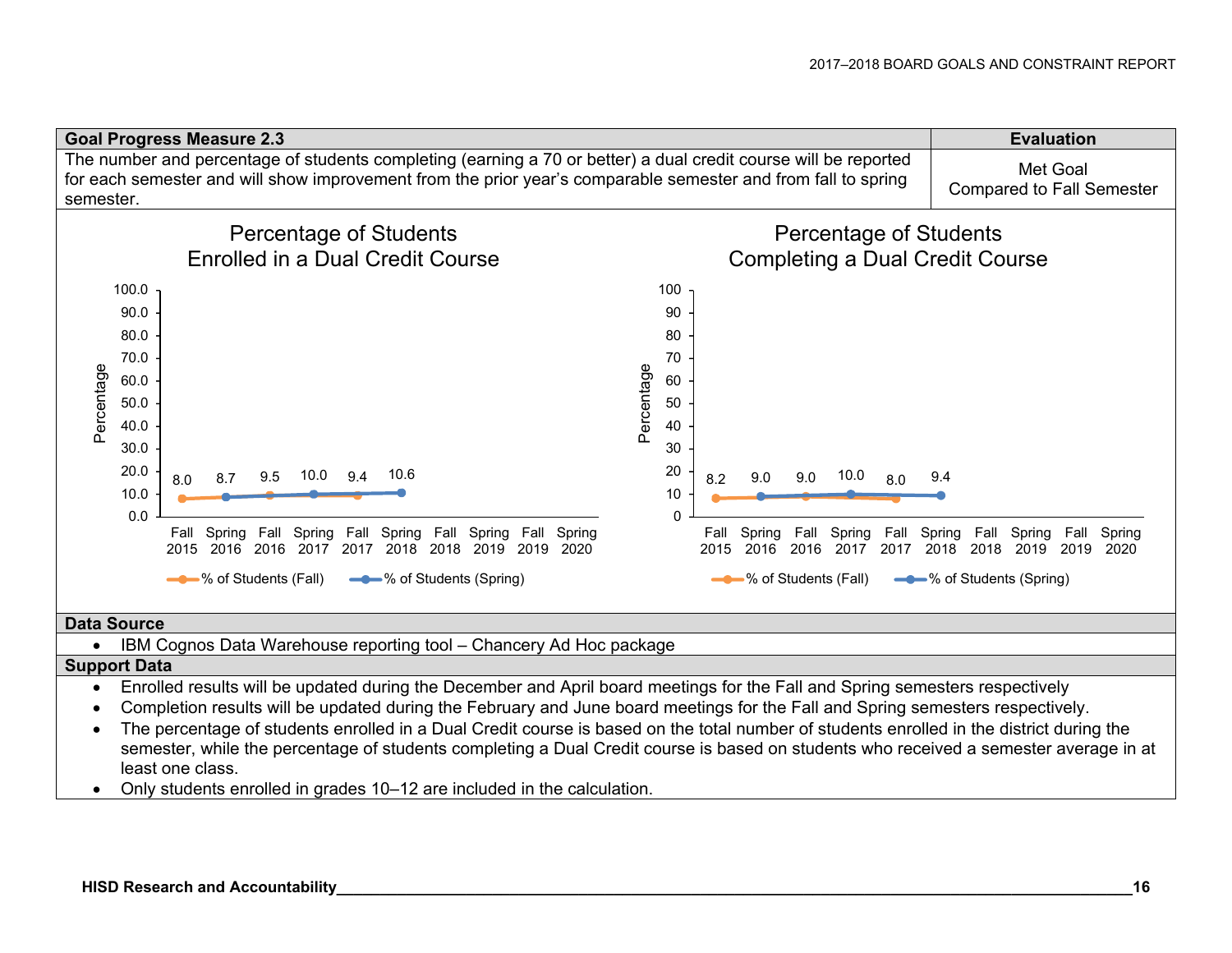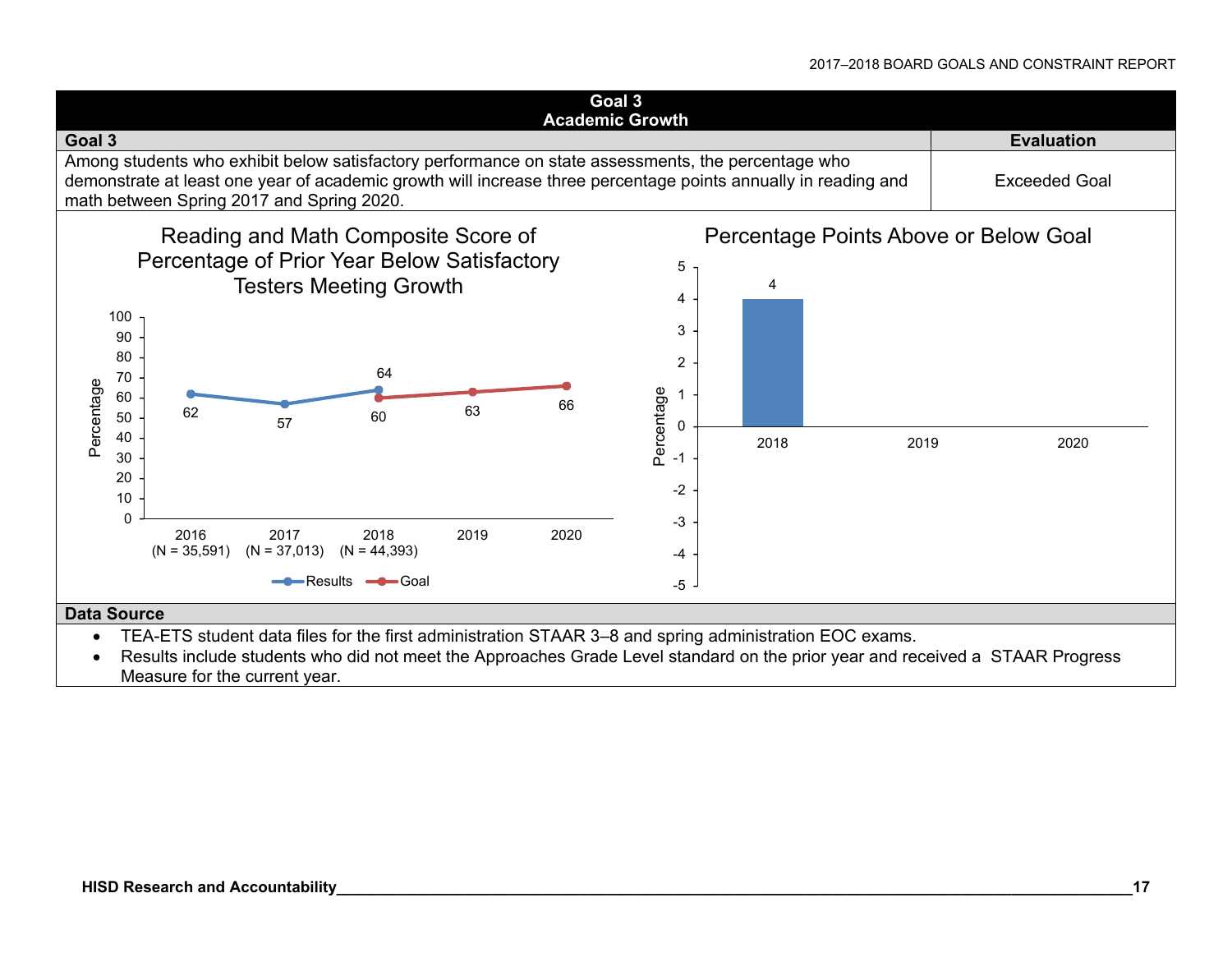

 Results include students who did not meet the Approaches Grade Level standard on the prior year and received a STAAR Progress Measure for the current year.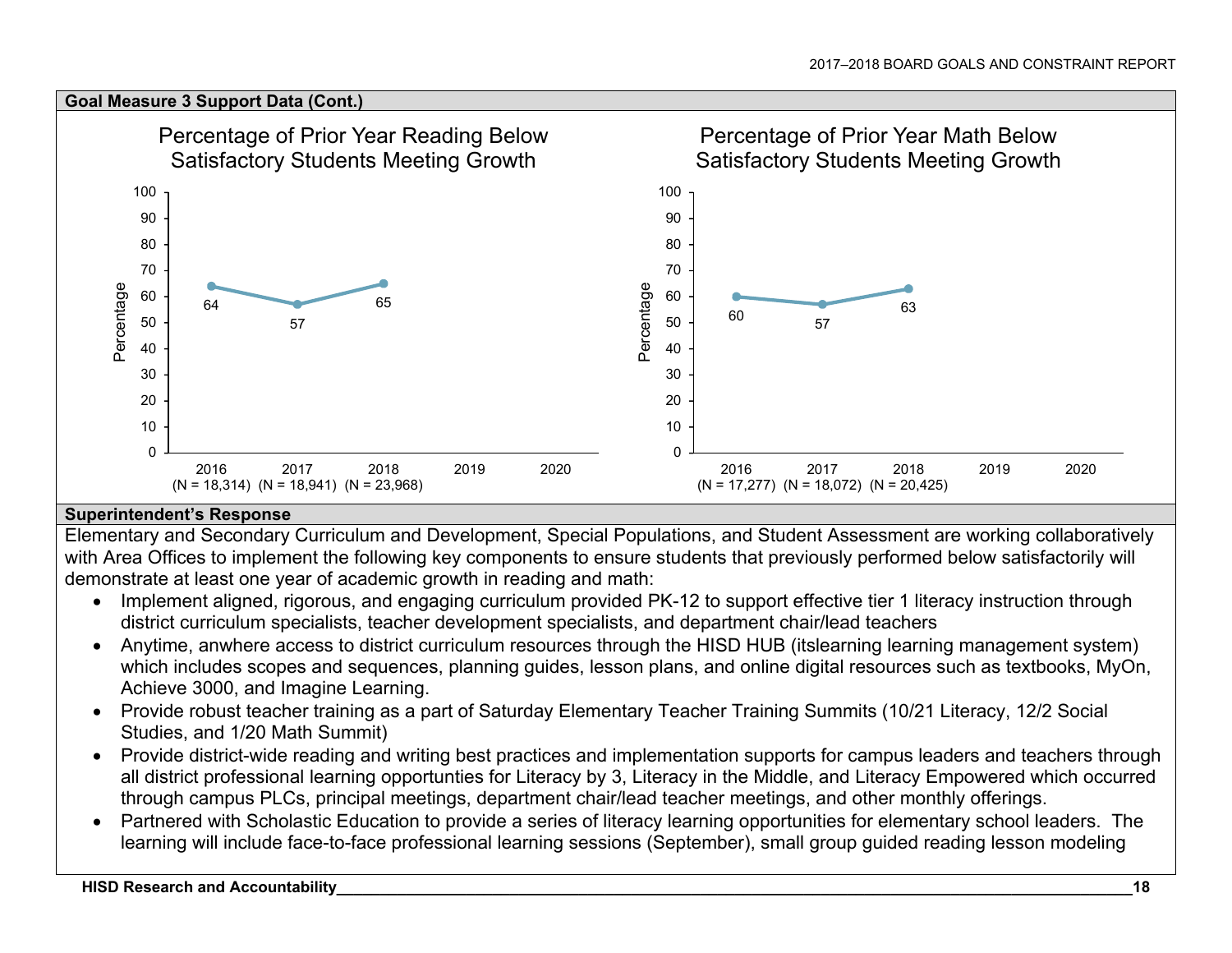#### **Goal Measure 3 Support Data (Cont.)**  Percentage of Prior Year Reading Below Percentage of Prior Year Math Below Satisfactory Students Meeting Growth Satisfactory Students Meeting Growth100100 909080807070Percentage Percentage Percentage Percentage 60606564 $\overline{7}$  63 60505057 574040303020201010 $\Omega$  $\Omega$ 2016201720182019 2020 2016201720182019 2020 (N = 18,314) (N = 18,941) (N = 23,968) (N = 17,277) (N = 18,072) (N = 20,425)

## **Superintendent's Response**

Elementary and Secondary Curriculum and Development, Special Populations, and Student Assessment are working collaboratively with Area Offices to implement the following key components to ensure students that previously performed below satisfactorily will demonstrate at least one year of academic growth in reading and math:

- Implement aligned, rigorous, and engaging curriculum provided PK-12 to support effective tier 1 literacy instruction through district curriculum specialists, teacher development specialists, and department chair/lead teachers
- Anytime, anwhere access to district curriculum resources through the HISD HUB (itslearning learning management system) which includes scopes and sequences, planning guides, lesson plans, and online digital resources such as textbooks, MyOn, Achieve 3000, and Imagine Learning.
- Provide robust teacher training as a part of Saturday Elementary Teacher Training Summits (10/21 Literacy, 12/2 Social Studies, and 1/20 Math Summit)
- Provide district-wide reading and writing best practices and implementation supports for campus leaders and teachers through all district professional learning opportunties for Literacy by 3, Literacy in the Middle, and Literacy Empowered which occurred through campus PLCs, principal meetings, department chair/lead teacher meetings, and other monthly offerings.
- Partnered with Scholastic Education to provide a series of literacy learning opportunities for elementary school leaders. The learning will include face-to-face professional learning sessions (September), small group guided reading lesson modeling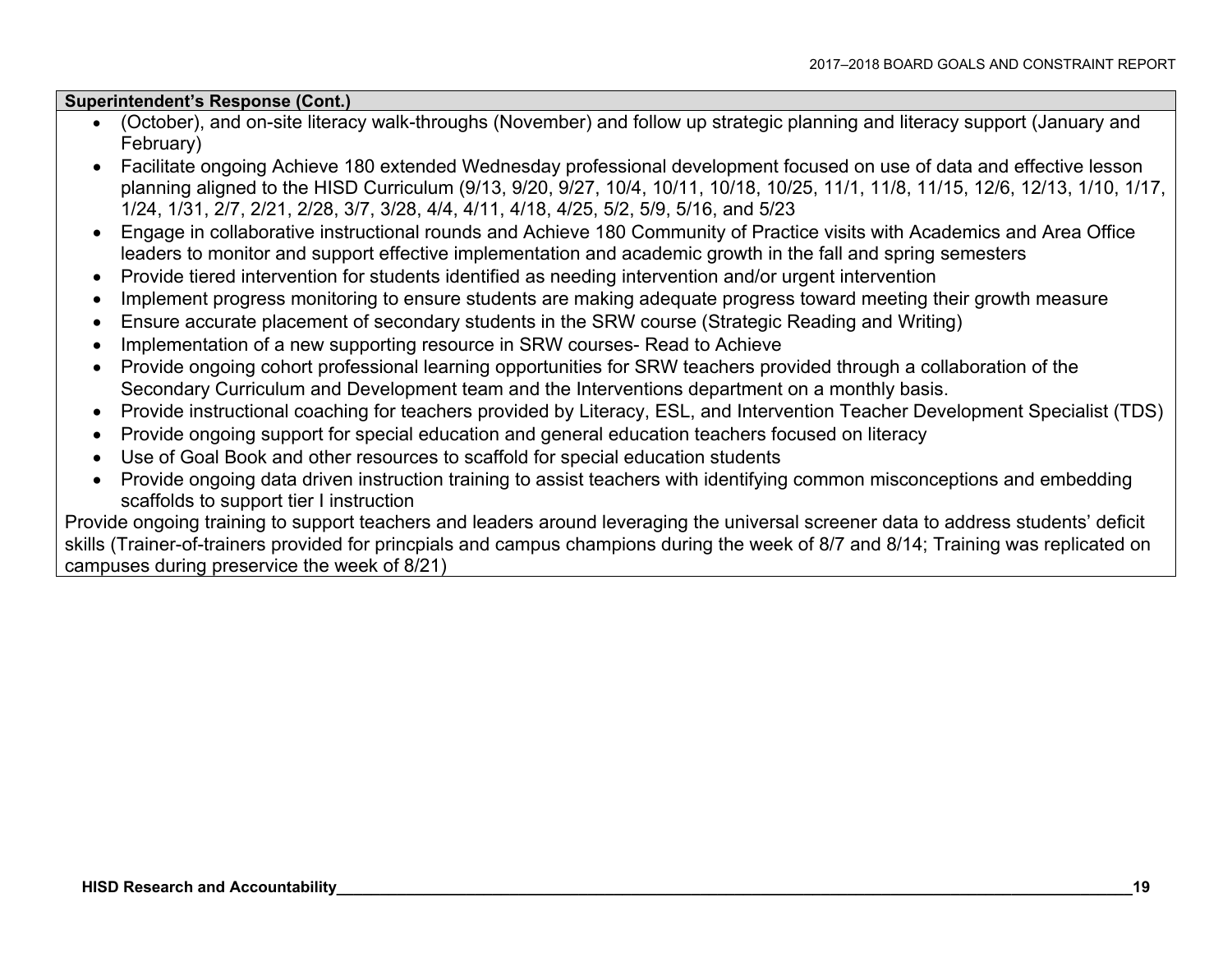#### **Superintendent's Response (Cont.)**

- (October), and on-site literacy walk-throughs (November) and follow up strategic planning and literacy support (January and February)
- Facilitate ongoing Achieve 180 extended Wednesday professional development focused on use of data and effective lesson planning aligned to the HISD Curriculum (9/13, 9/20, 9/27, 10/4, 10/11, 10/18, 10/25, 11/1, 11/8, 11/15, 12/6, 12/13, 1/10, 1/17, 1/24, 1/31, 2/7, 2/21, 2/28, 3/7, 3/28, 4/4, 4/11, 4/18, 4/25, 5/2, 5/9, 5/16, and 5/23
- Engage in collaborative instructional rounds and Achieve 180 Community of Practice visits with Academics and Area Office leaders to monitor and support effective implementation and academic growth in the fall and spring semesters
- Provide tiered intervention for students identified as needing intervention and/or urgent intervention
- Implement progress monitoring to ensure students are making adequate progress toward meeting their growth measure
- Ensure accurate placement of secondary students in the SRW course (Strategic Reading and Writing)
- Implementation of a new supporting resource in SRW courses- Read to Achieve
- Provide ongoing cohort professional learning opportunities for SRW teachers provided through a collaboration of the Secondary Curriculum and Development team and the Interventions department on a monthly basis.
- Provide instructional coaching for teachers provided by Literacy, ESL, and Intervention Teacher Development Specialist (TDS)
- Provide ongoing support for special education and general education teachers focused on literacy
- Use of Goal Book and other resources to scaffold for special education students
- Provide ongoing data driven instruction training to assist teachers with identifying common misconceptions and embedding scaffolds to support tier I instruction

Provide ongoing training to support teachers and leaders around leveraging the universal screener data to address students' deficit skills (Trainer-of-trainers provided for princpials and campus champions during the week of 8/7 and 8/14; Training was replicated on campuses during preservice the week of 8/21)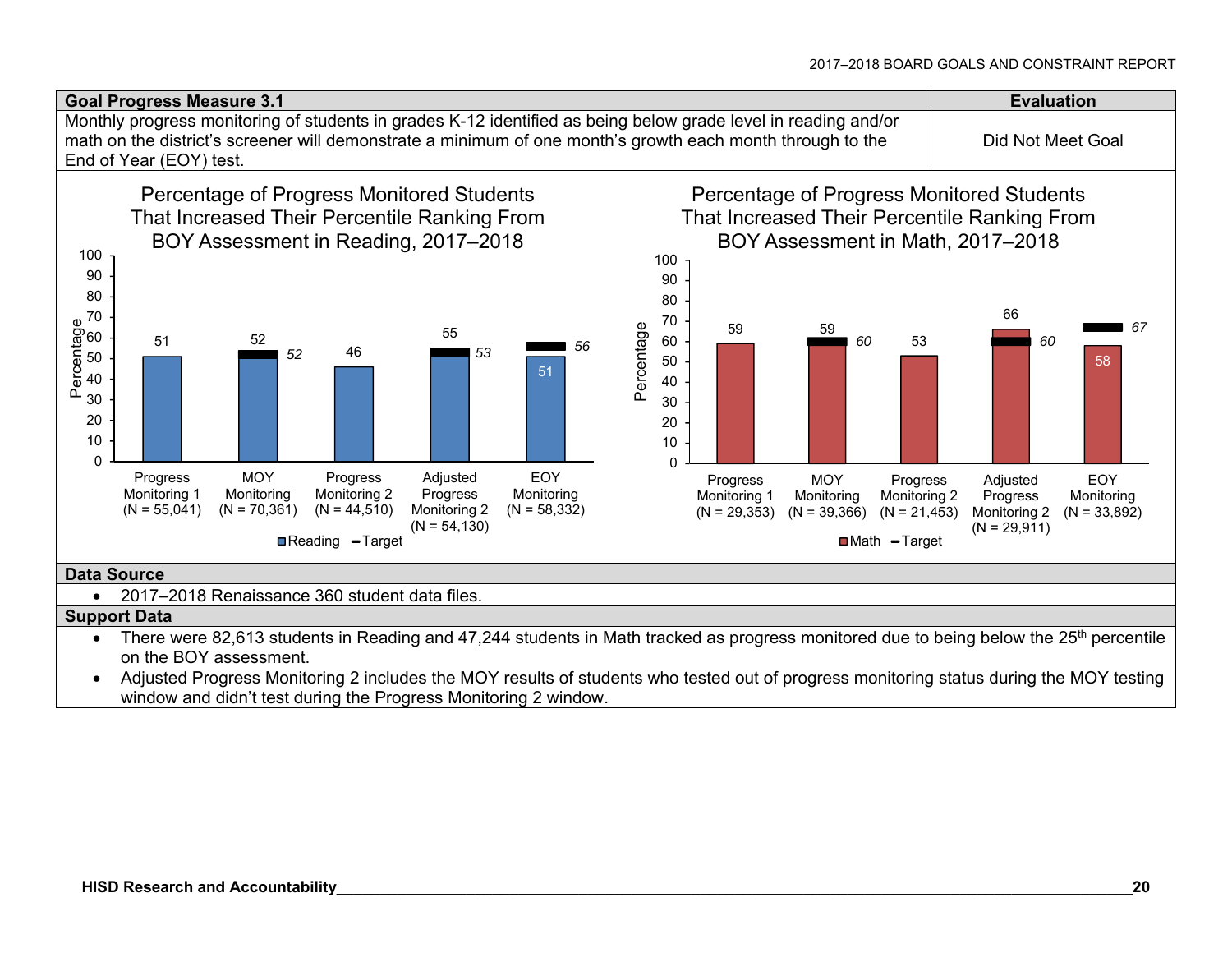

- There were 82,613 students in Reading and 47,244 students in Math tracked as progress monitored due to being below the 25<sup>th</sup> percentile on the BOY assessment.
- Adjusted Progress Monitoring 2 includes the MOY results of students who tested out of progress monitoring status during the MOY testing window and didn't test during the Progress Monitoring 2 window.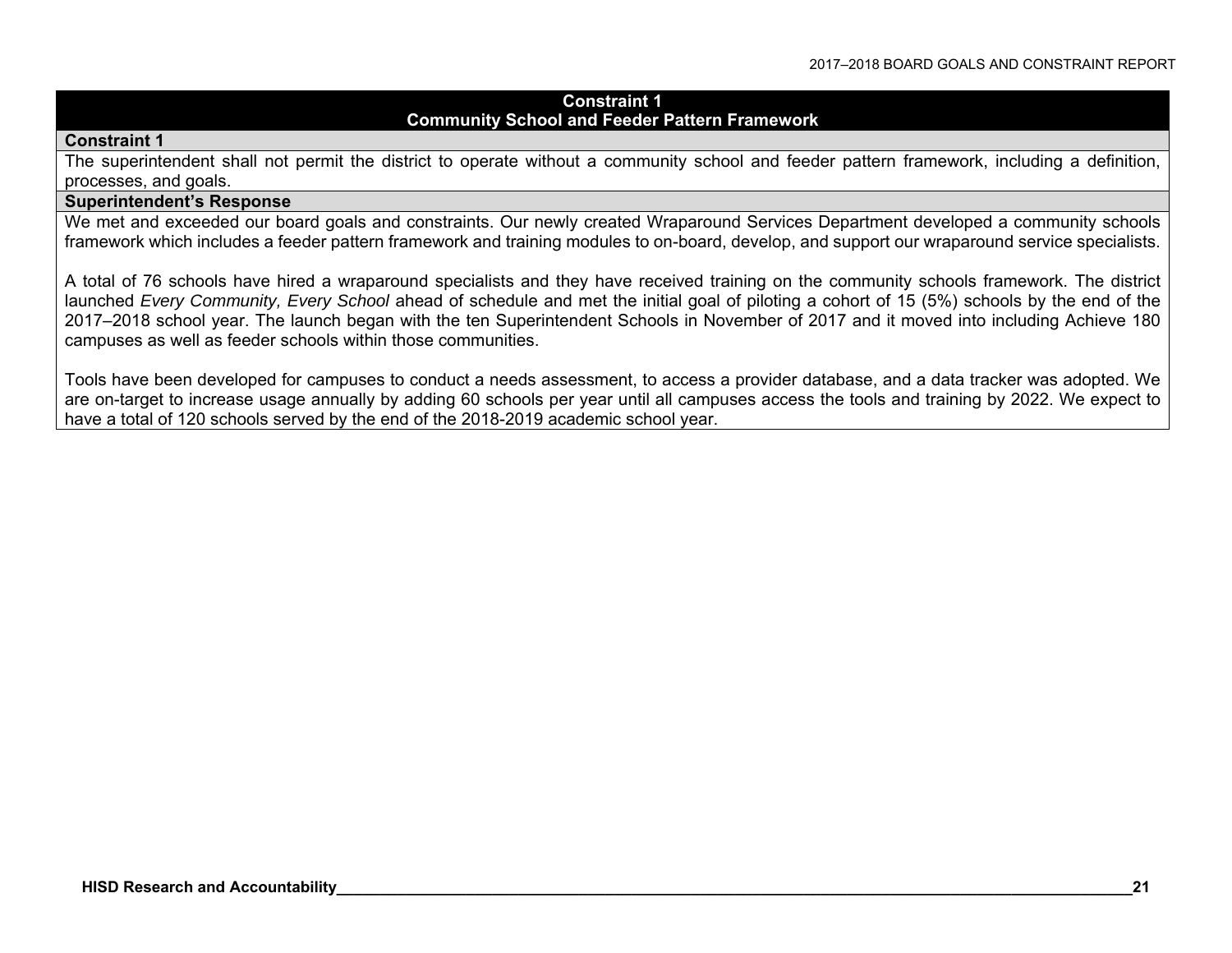#### **Constraint 1 Community School and Feeder Pattern Framework**

#### **Constraint 1**

The superintendent shall not permit the district to operate without a community school and feeder pattern framework, including a definition, processes, and goals.

#### **Superintendent's Response**

We met and exceeded our board goals and constraints. Our newly created Wraparound Services Department developed a community schools framework which includes a feeder pattern framework and training modules to on-board, develop, and support our wraparound service specialists.

A total of 76 schools have hired a wraparound specialists and they have received training on the community schools framework. The district launched *Every Community, Every School* ahead of schedule and met the initial goal of piloting a cohort of 15 (5%) schools by the end of the 2017–2018 school year. The launch began with the ten Superintendent Schools in November of 2017 and it moved into including Achieve 180 campuses as well as feeder schools within those communities.

Tools have been developed for campuses to conduct a needs assessment, to access a provider database, and a data tracker was adopted. We are on-target to increase usage annually by adding 60 schools per year until all campuses access the tools and training by 2022. We expect to have a total of 120 schools served by the end of the 2018-2019 academic school year.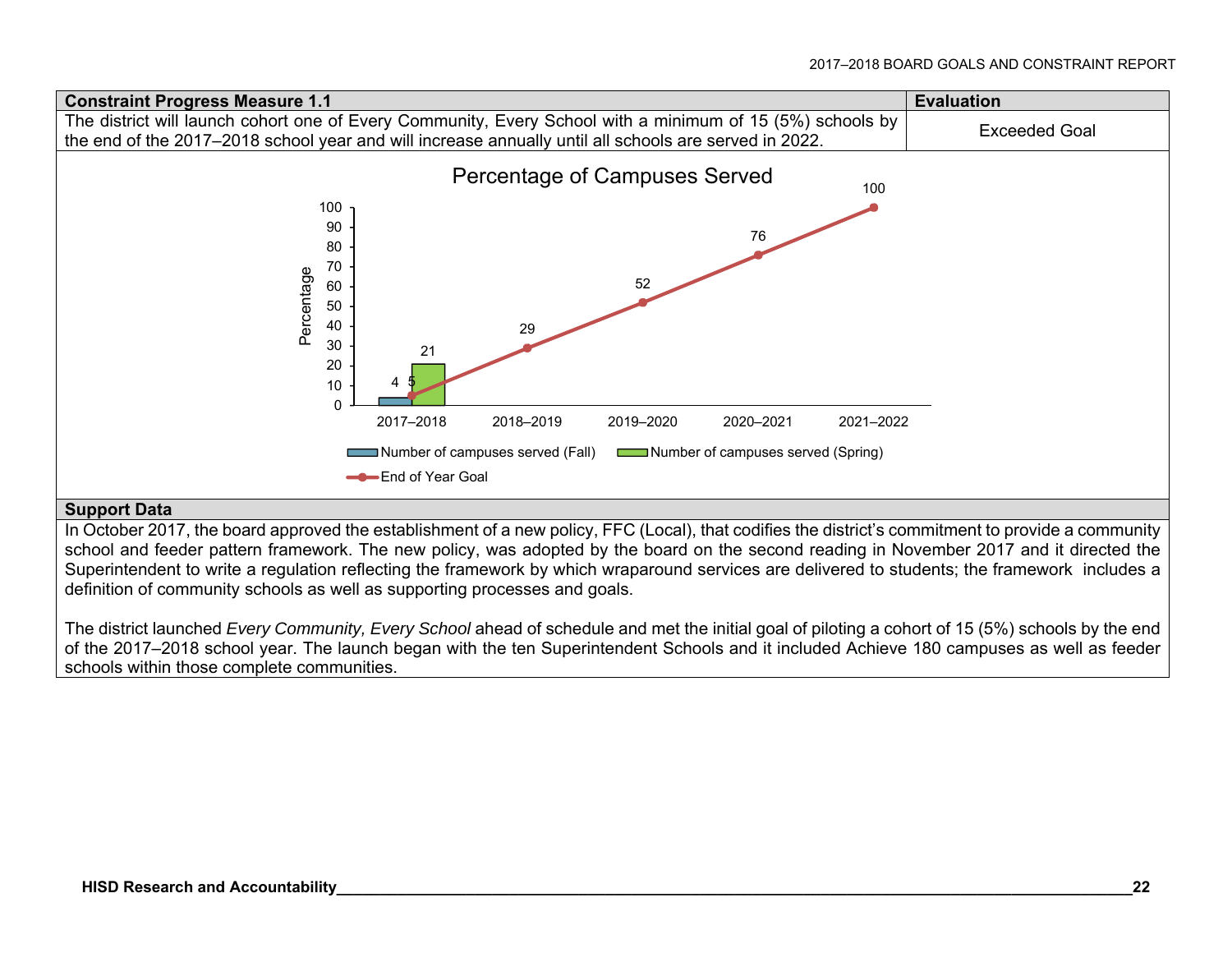

#### **Support Data**

In October 2017, the board approved the establishment of a new policy, FFC (Local), that codifies the district's commitment to provide a community school and feeder pattern framework. The new policy, was adopted by the board on the second reading in November 2017 and it directed the Superintendent to write a regulation reflecting the framework by which wraparound services are delivered to students; the framework includes a definition of community schools as well as supporting processes and goals.

The district launched *Every Community, Every School* ahead of schedule and met the initial goal of piloting a cohort of 15 (5%) schools by the end of the 2017–2018 school year. The launch began with the ten Superintendent Schools and it included Achieve 180 campuses as well as feeder schools within those complete communities.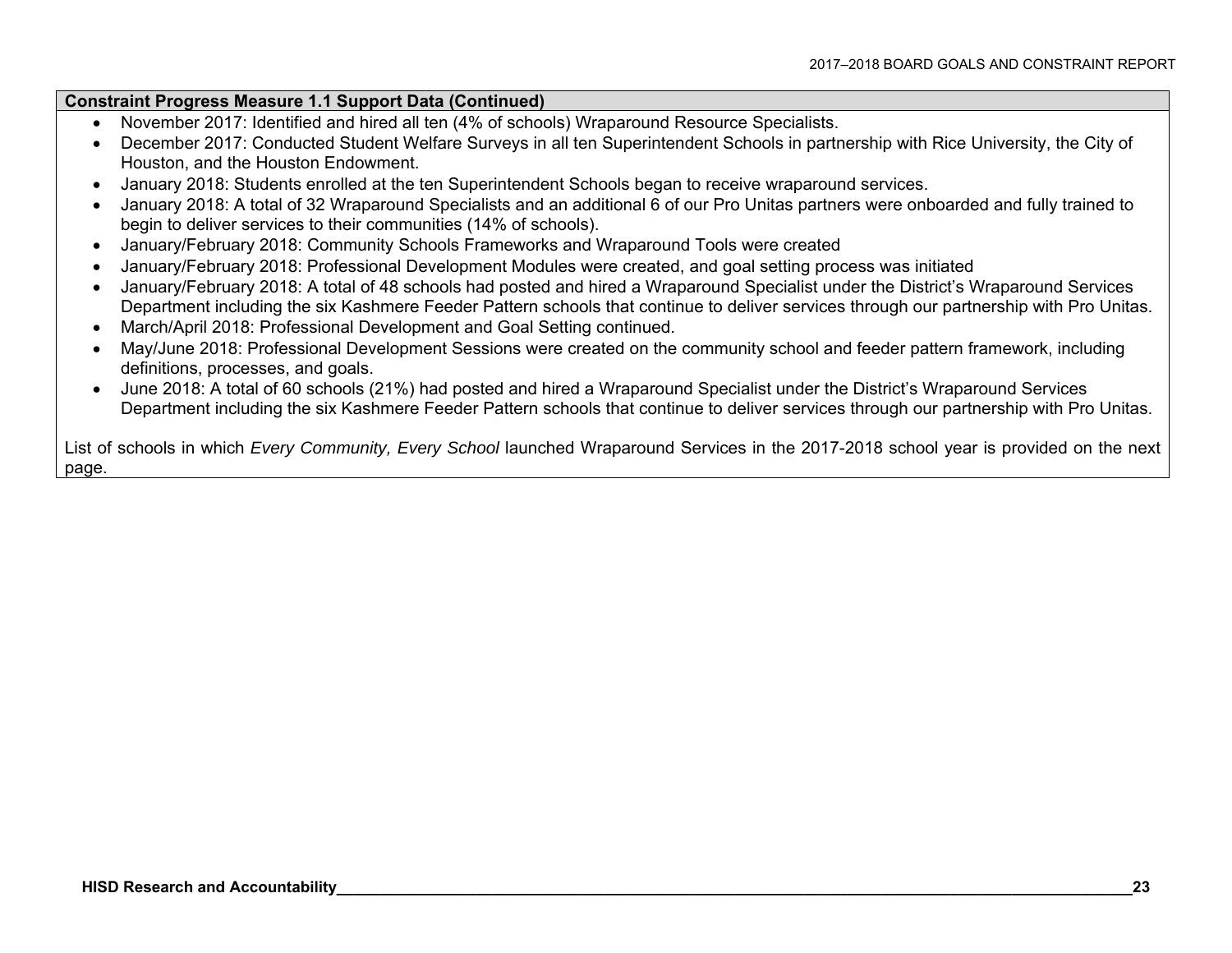#### **Constraint Progress Measure 1.1 Support Data (Continued)**

- November 2017: Identified and hired all ten (4% of schools) Wraparound Resource Specialists.
- December 2017: Conducted Student Welfare Surveys in all ten Superintendent Schools in partnership with Rice University, the City of Houston, and the Houston Endowment.
- January 2018: Students enrolled at the ten Superintendent Schools began to receive wraparound services.
- January 2018: A total of 32 Wraparound Specialists and an additional 6 of our Pro Unitas partners were onboarded and fully trained to begin to deliver services to their communities (14% of schools).
- January/February 2018: Community Schools Frameworks and Wraparound Tools were created
- January/February 2018: Professional Development Modules were created, and goal setting process was initiated
- January/February 2018: A total of 48 schools had posted and hired a Wraparound Specialist under the District's Wraparound Services Department including the six Kashmere Feeder Pattern schools that continue to deliver services through our partnership with Pro Unitas.
- March/April 2018: Professional Development and Goal Setting continued.
- May/June 2018: Professional Development Sessions were created on the community school and feeder pattern framework, including definitions, processes, and goals.
- June 2018: A total of 60 schools (21%) had posted and hired a Wraparound Specialist under the District's Wraparound Services Department including the six Kashmere Feeder Pattern schools that continue to deliver services through our partnership with Pro Unitas.

List of schools in which *Every Community, Every School* launched Wraparound Services in the 2017-2018 school year is provided on the next page.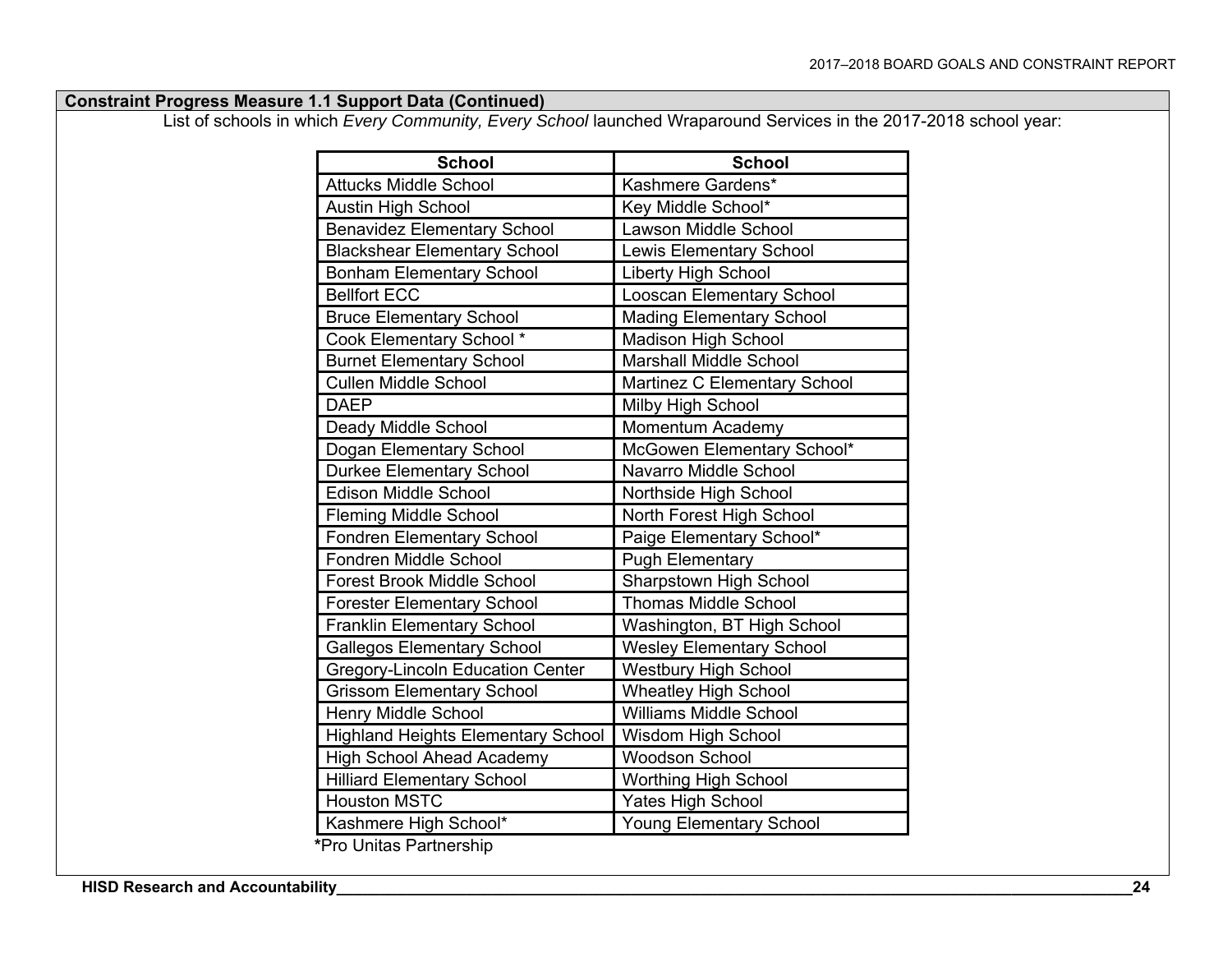| <b>Constraint Progress Measure 1.1 Support Data (Continued)</b> |  |  |  |
|-----------------------------------------------------------------|--|--|--|
|-----------------------------------------------------------------|--|--|--|

List of schools in which *Every Community, Every School* launched Wraparound Services in the 2017-2018 school year:

| <b>School</b>                             | <b>School</b>                    |  |  |  |
|-------------------------------------------|----------------------------------|--|--|--|
| <b>Attucks Middle School</b>              | Kashmere Gardens*                |  |  |  |
| <b>Austin High School</b>                 | Key Middle School*               |  |  |  |
| <b>Benavidez Elementary School</b>        | <b>Lawson Middle School</b>      |  |  |  |
| <b>Blackshear Elementary School</b>       | <b>Lewis Elementary School</b>   |  |  |  |
| <b>Bonham Elementary School</b>           | Liberty High School              |  |  |  |
| <b>Bellfort ECC</b>                       | <b>Looscan Elementary School</b> |  |  |  |
| <b>Bruce Elementary School</b>            | <b>Mading Elementary School</b>  |  |  |  |
| Cook Elementary School *                  | <b>Madison High School</b>       |  |  |  |
| <b>Burnet Elementary School</b>           | <b>Marshall Middle School</b>    |  |  |  |
| <b>Cullen Middle School</b>               | Martinez C Elementary School     |  |  |  |
| <b>DAEP</b>                               | Milby High School                |  |  |  |
| Deady Middle School                       | Momentum Academy                 |  |  |  |
| Dogan Elementary School                   | McGowen Elementary School*       |  |  |  |
| <b>Durkee Elementary School</b>           | Navarro Middle School            |  |  |  |
| <b>Edison Middle School</b>               | Northside High School            |  |  |  |
| <b>Fleming Middle School</b>              | North Forest High School         |  |  |  |
| <b>Fondren Elementary School</b>          | Paige Elementary School*         |  |  |  |
| Fondren Middle School                     | <b>Pugh Elementary</b>           |  |  |  |
| <b>Forest Brook Middle School</b>         | Sharpstown High School           |  |  |  |
| <b>Forester Elementary School</b>         | <b>Thomas Middle School</b>      |  |  |  |
| <b>Franklin Elementary School</b>         | Washington, BT High School       |  |  |  |
| Gallegos Elementary School                | <b>Wesley Elementary School</b>  |  |  |  |
| <b>Gregory-Lincoln Education Center</b>   | <b>Westbury High School</b>      |  |  |  |
| <b>Grissom Elementary School</b>          | <b>Wheatley High School</b>      |  |  |  |
| <b>Henry Middle School</b>                | <b>Williams Middle School</b>    |  |  |  |
| <b>Highland Heights Elementary School</b> | <b>Wisdom High School</b>        |  |  |  |
| <b>High School Ahead Academy</b>          | <b>Woodson School</b>            |  |  |  |
| <b>Hilliard Elementary School</b>         | Worthing High School             |  |  |  |
| <b>Houston MSTC</b>                       | <b>Yates High School</b>         |  |  |  |
| Kashmere High School*                     | <b>Young Elementary School</b>   |  |  |  |
| *Pro Unitas Partnership                   |                                  |  |  |  |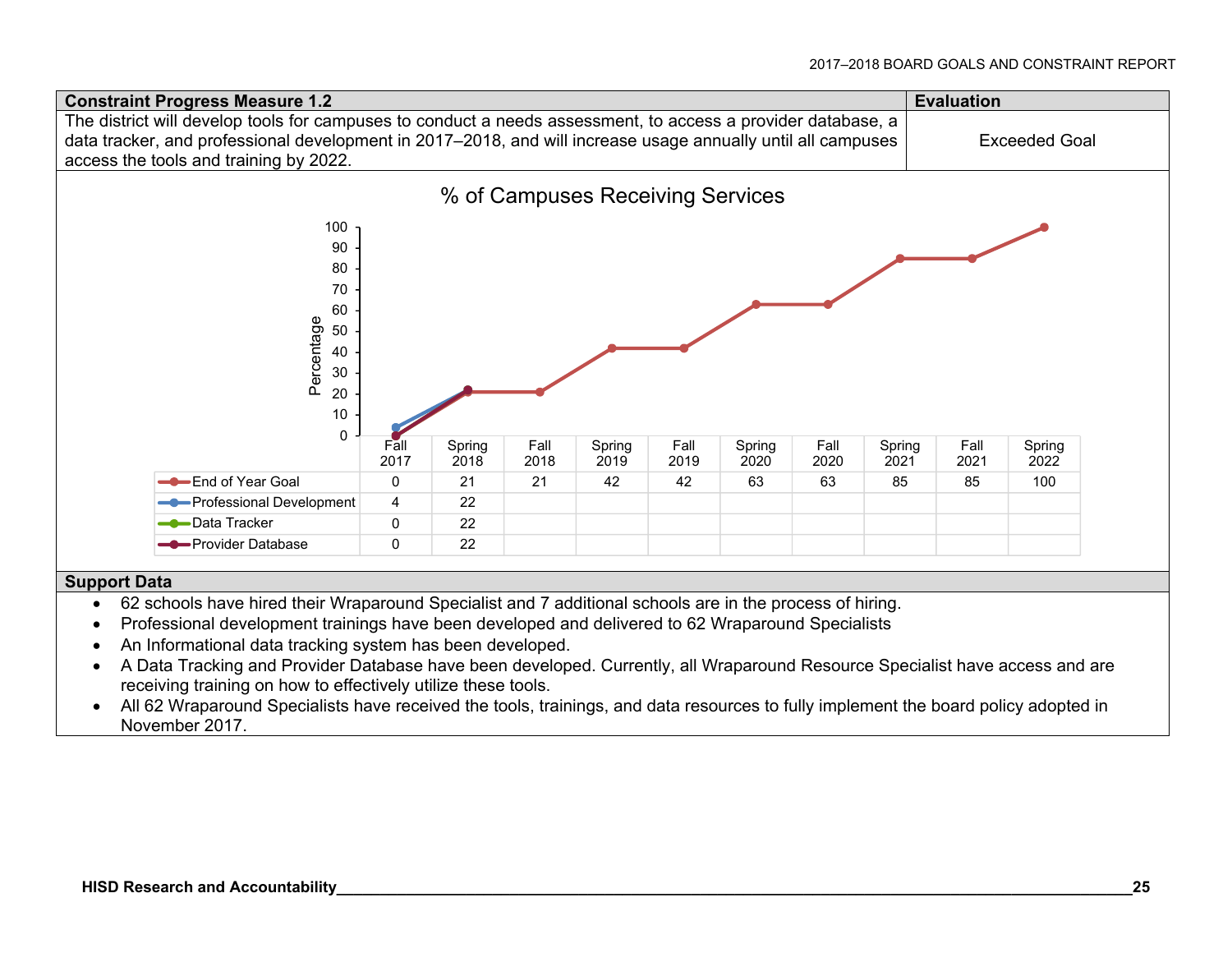

#### **Support Data**

- 62 schools have hired their Wraparound Specialist and 7 additional schools are in the process of hiring.
- Professional development trainings have been developed and delivered to 62 Wraparound Specialists
- An Informational data tracking system has been developed.
- A Data Tracking and Provider Database have been developed. Currently, all Wraparound Resource Specialist have access and are receiving training on how to effectively utilize these tools.
- All 62 Wraparound Specialists have received the tools, trainings, and data resources to fully implement the board policy adopted in November 2017.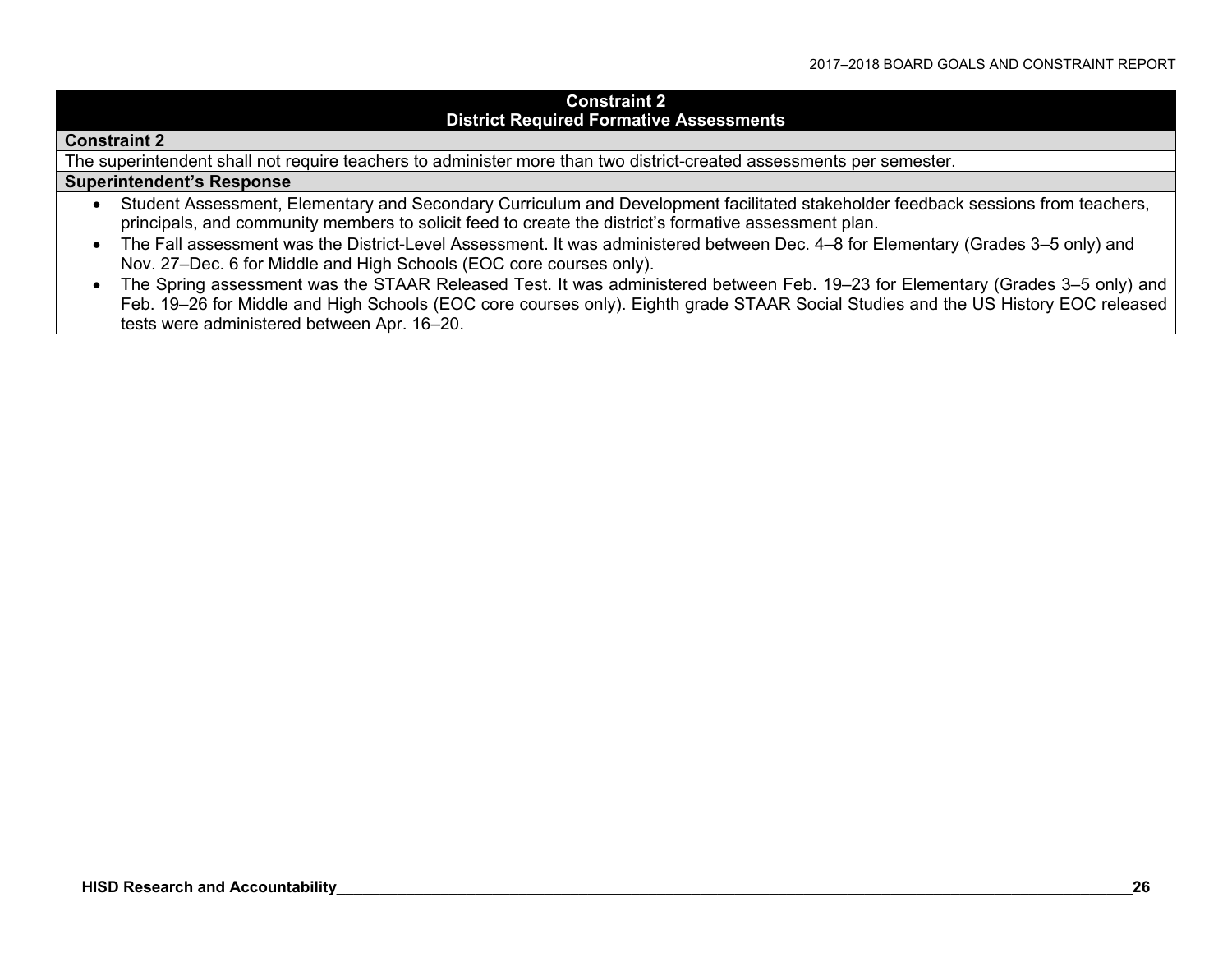#### **Constraint 2 District Required Formative Assessments**

#### **Constraint 2**

The superintendent shall not require teachers to administer more than two district-created assessments per semester.

#### **Superintendent's Response**

- Student Assessment, Elementary and Secondary Curriculum and Development facilitated stakeholder feedback sessions from teachers, principals, and community members to solicit feed to create the district's formative assessment plan.
- The Fall assessment was the District-Level Assessment. It was administered between Dec. 4–8 for Elementary (Grades 3–5 only) and Nov. 27–Dec. 6 for Middle and High Schools (EOC core courses only).
- The Spring assessment was the STAAR Released Test. It was administered between Feb. 19–23 for Elementary (Grades 3–5 only) and Feb. 19–26 for Middle and High Schools (EOC core courses only). Eighth grade STAAR Social Studies and the US History EOC released tests were administered between Apr. 16–20.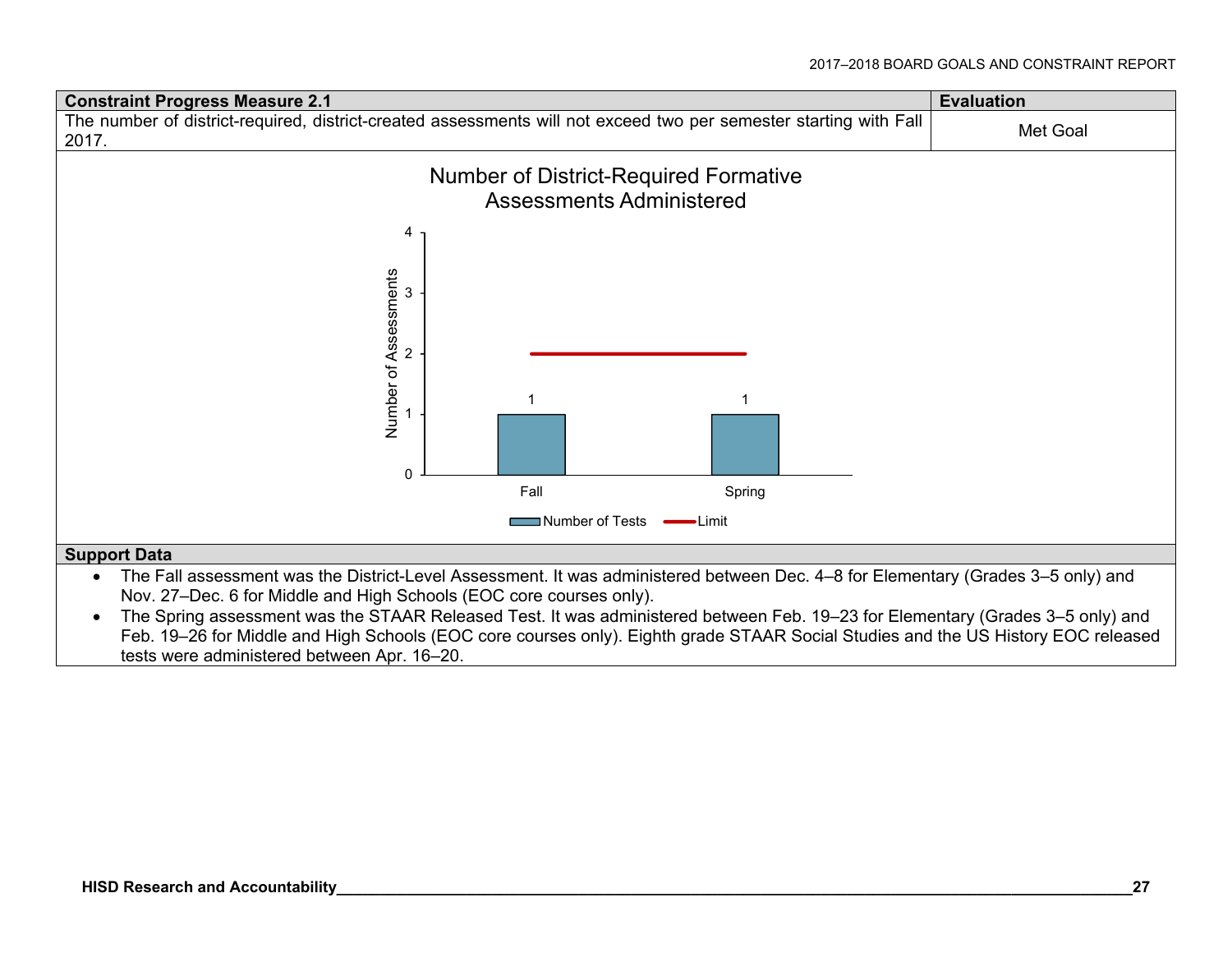

The Spring assessment was the STAAR Released Test. It was administered between Feb. 19–23 for Elementary (Grades 3–5 only) and Feb. 19–26 for Middle and High Schools (EOC core courses only). Eighth grade STAAR Social Studies and the US History EOC released tests were administered between Apr. 16–20.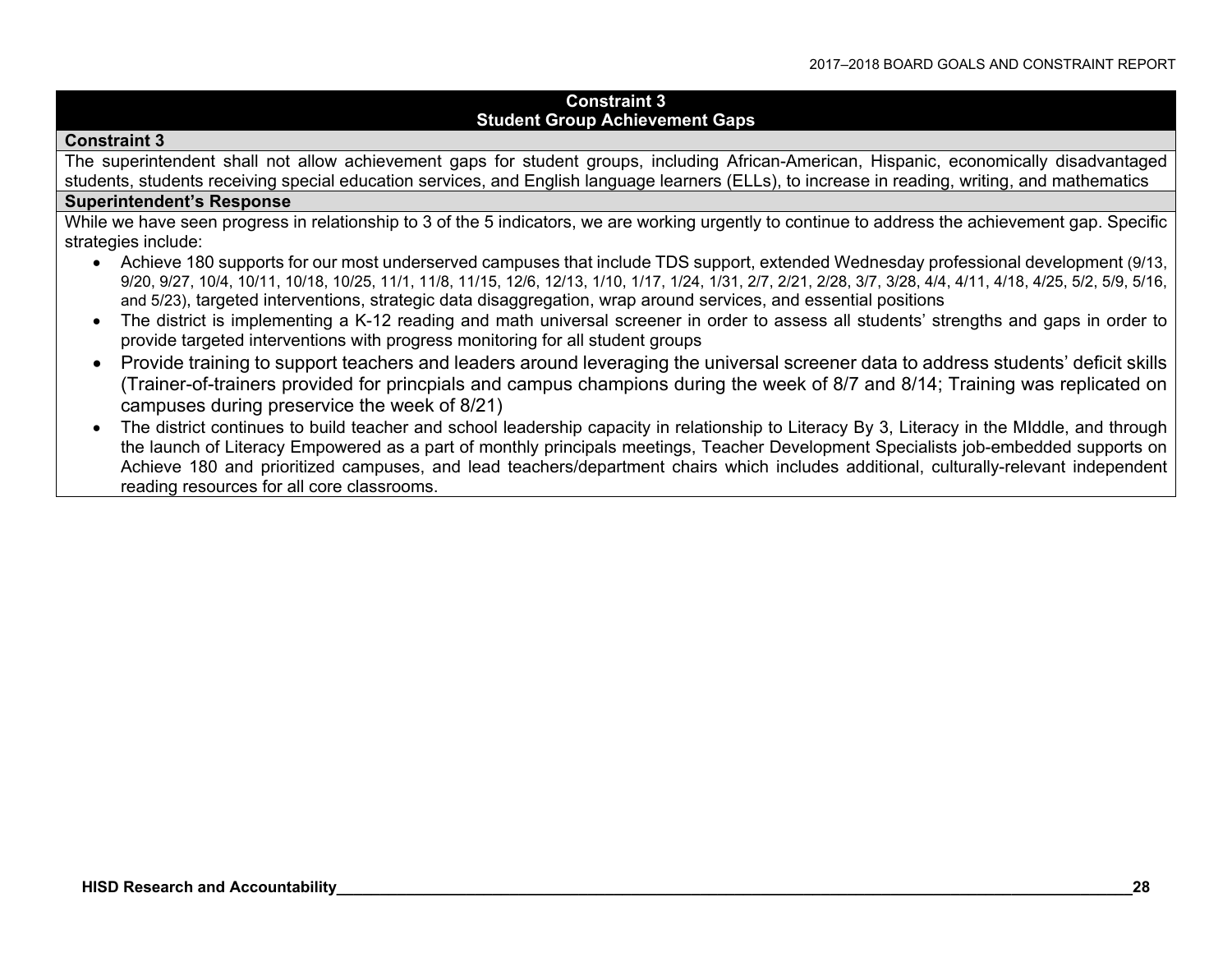#### **Constraint 3 Student Group Achievement Gaps**

#### **Constraint 3**

The superintendent shall not allow achievement gaps for student groups, including African-American, Hispanic, economically disadvantaged students, students receiving special education services, and English language learners (ELLs), to increase in reading, writing, and mathematics

#### **Superintendent's Response**

While we have seen progress in relationship to 3 of the 5 indicators, we are working urgently to continue to address the achievement gap. Specific strategies include:

- Achieve 180 supports for our most underserved campuses that include TDS support, extended Wednesday professional development (9/13, 9/20, 9/27, 10/4, 10/11, 10/18, 10/25, 11/1, 11/8, 11/15, 12/6, 12/13, 1/10, 1/17, 1/24, 1/31, 2/7, 2/21, 2/28, 3/7, 3/28, 4/4, 4/11, 4/18, 4/25, 5/2, 5/9, 5/16, and 5/23), targeted interventions, strategic data disaggregation, wrap around services, and essential positions
- The district is implementing a K-12 reading and math universal screener in order to assess all students' strengths and gaps in order to provide targeted interventions with progress monitoring for all student groups
- Provide training to support teachers and leaders around leveraging the universal screener data to address students' deficit skills (Trainer-of-trainers provided for princpials and campus champions during the week of 8/7 and 8/14; Training was replicated on campuses during preservice the week of 8/21)
- The district continues to build teacher and school leadership capacity in relationship to Literacy By 3, Literacy in the MIddle, and through the launch of Literacy Empowered as a part of monthly principals meetings, Teacher Development Specialists job-embedded supports on Achieve 180 and prioritized campuses, and lead teachers/department chairs which includes additional, culturally-relevant independent reading resources for all core classrooms.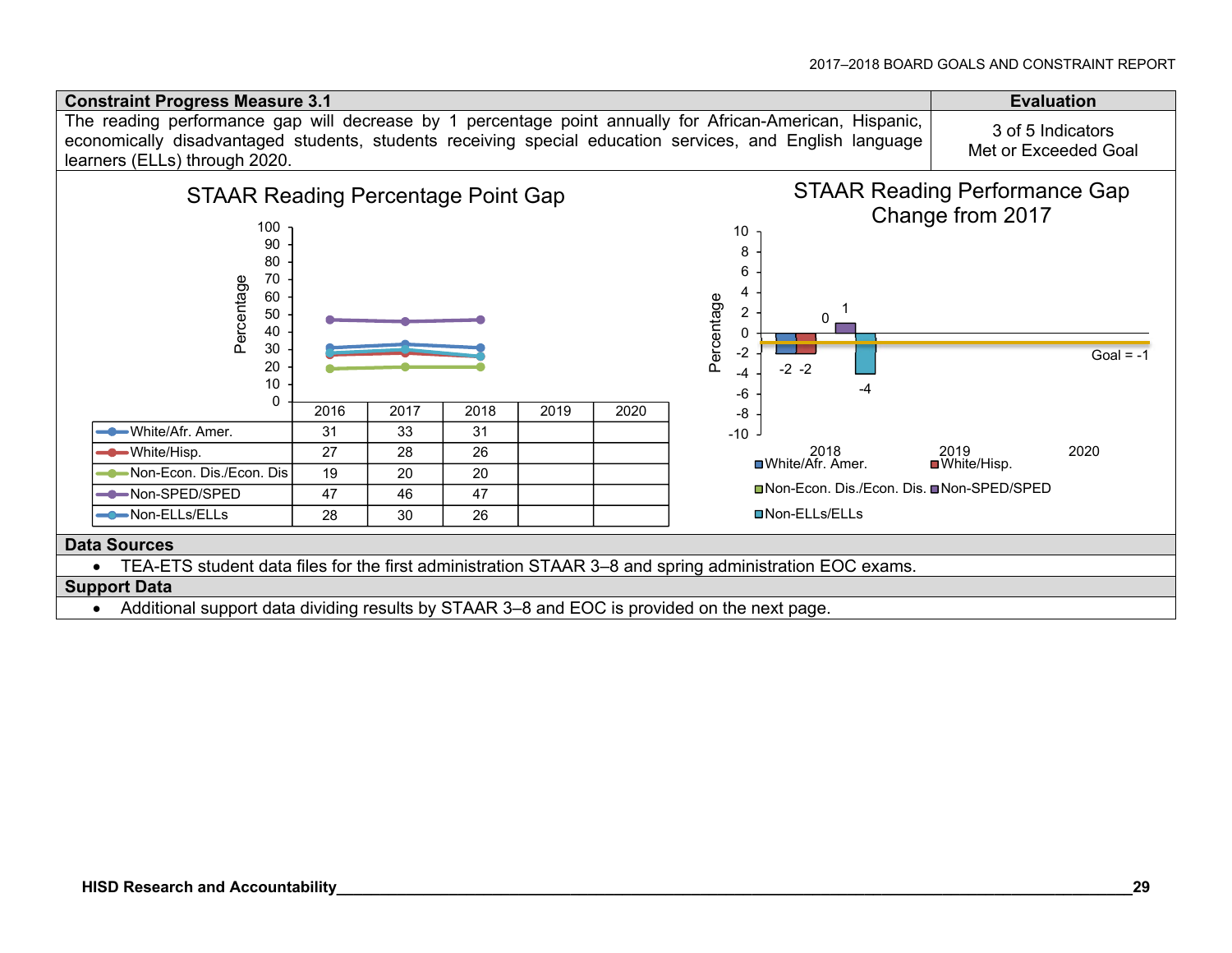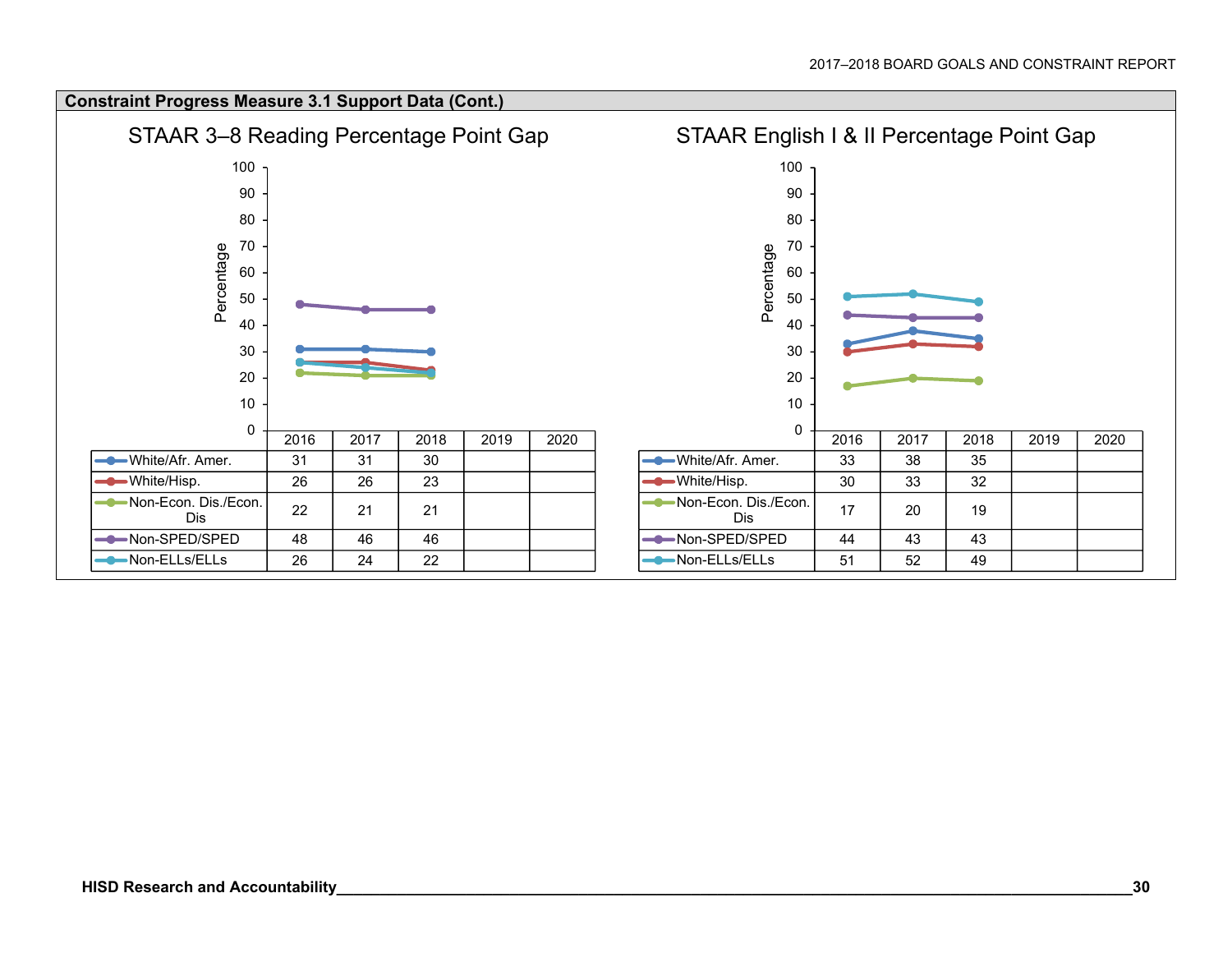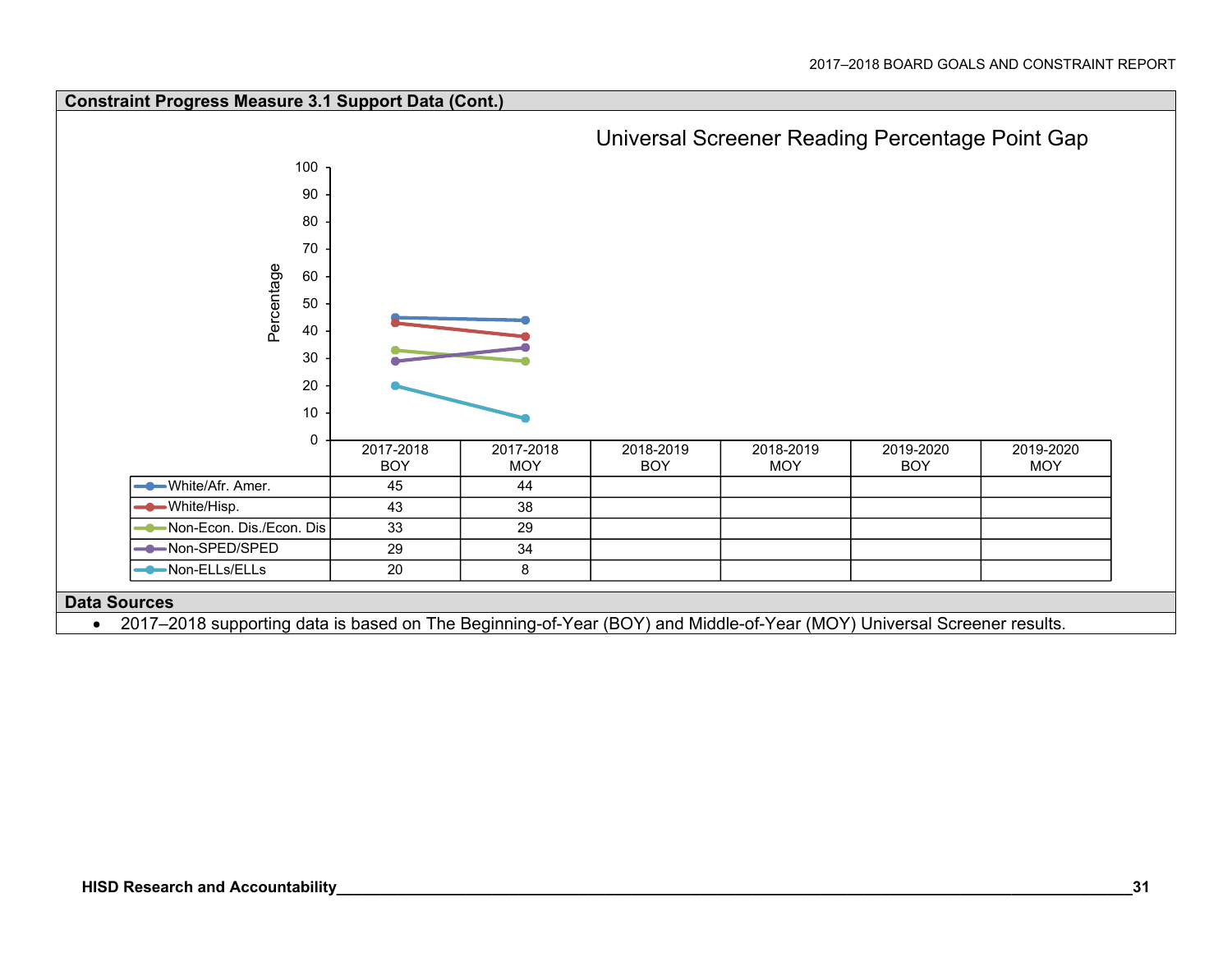

2017–2018 supporting data is based on The Beginning-of-Year (BOY) and Middle-of-Year (MOY) Universal Screener results.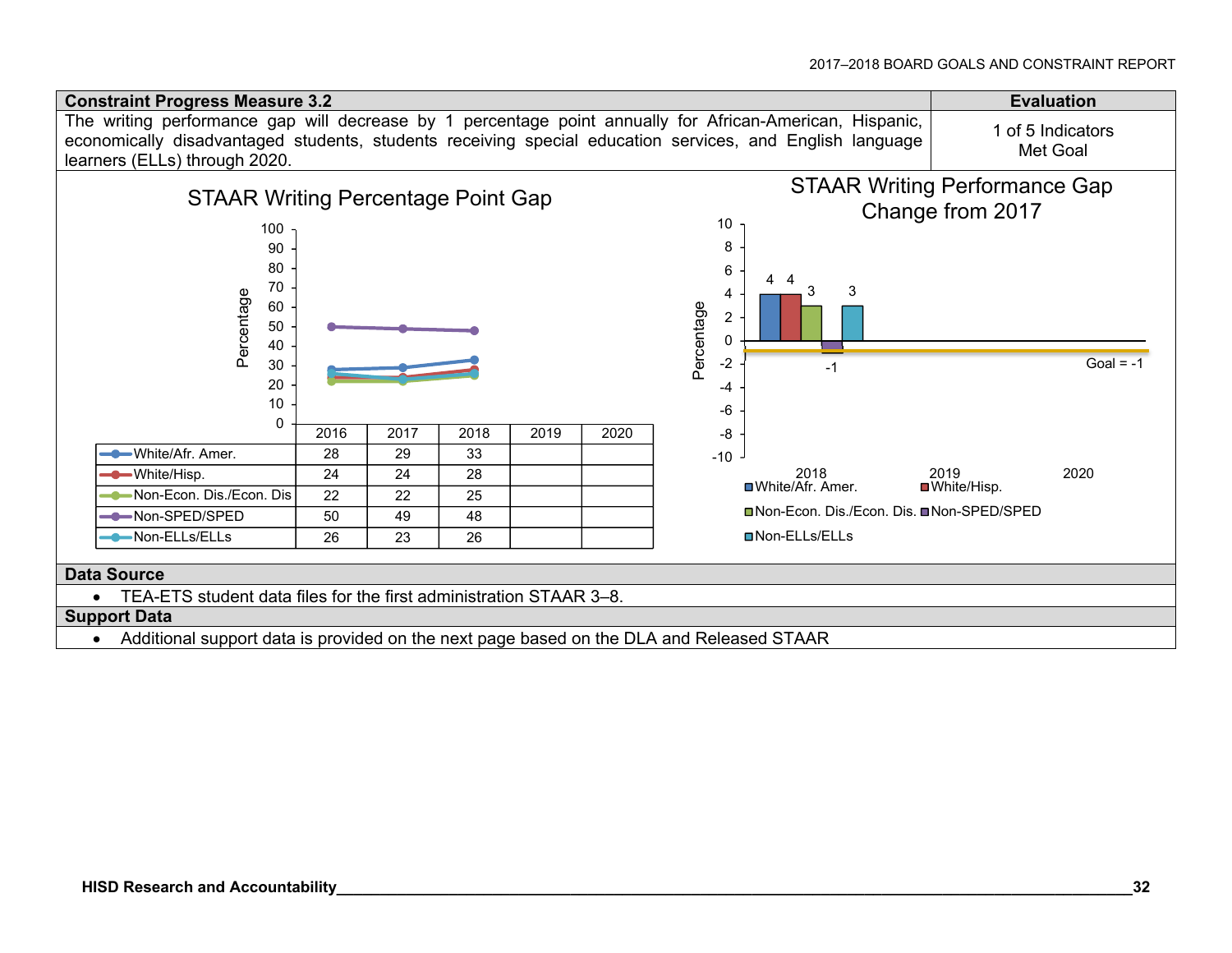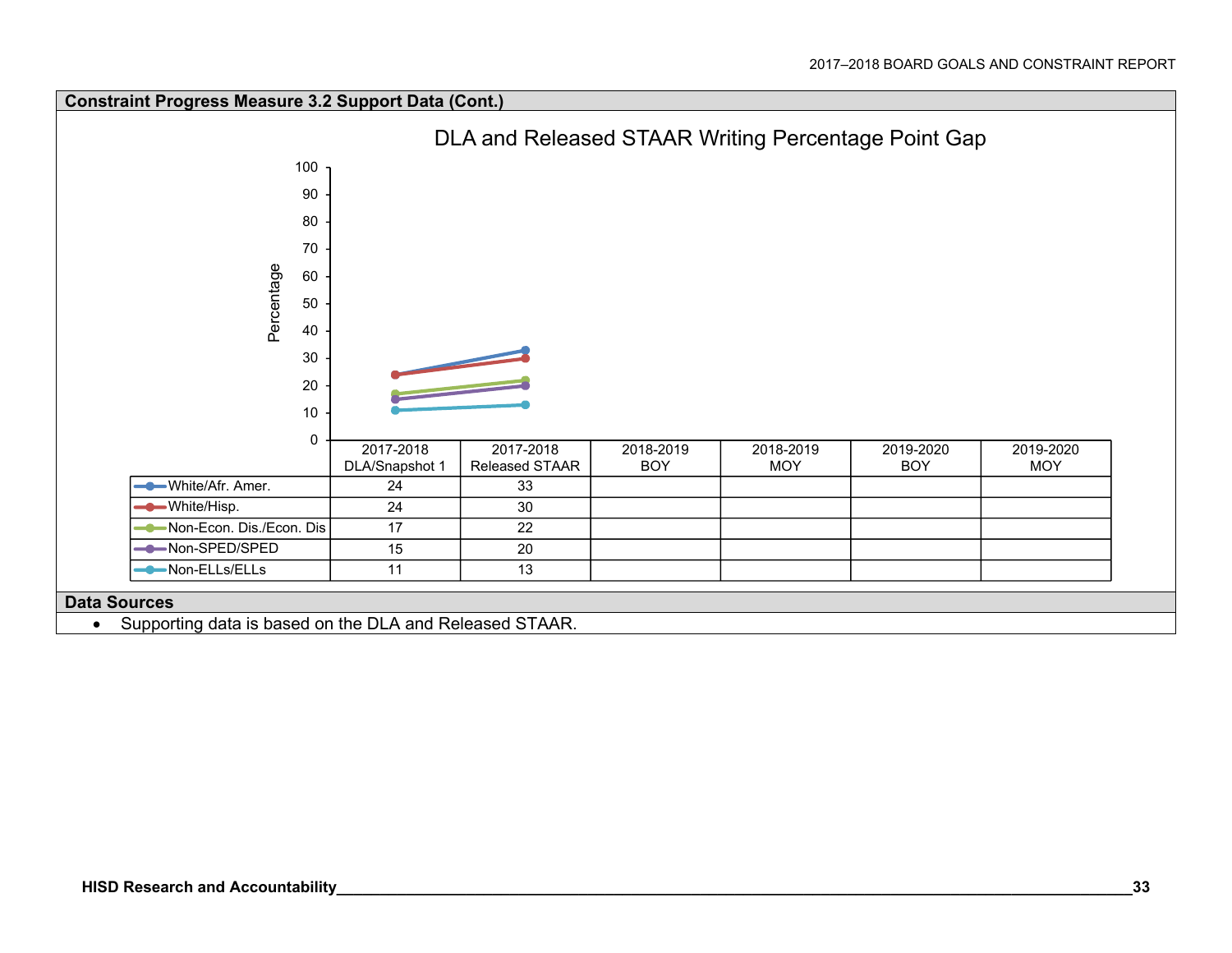

Supporting data is based on the DLA and Released STAAR.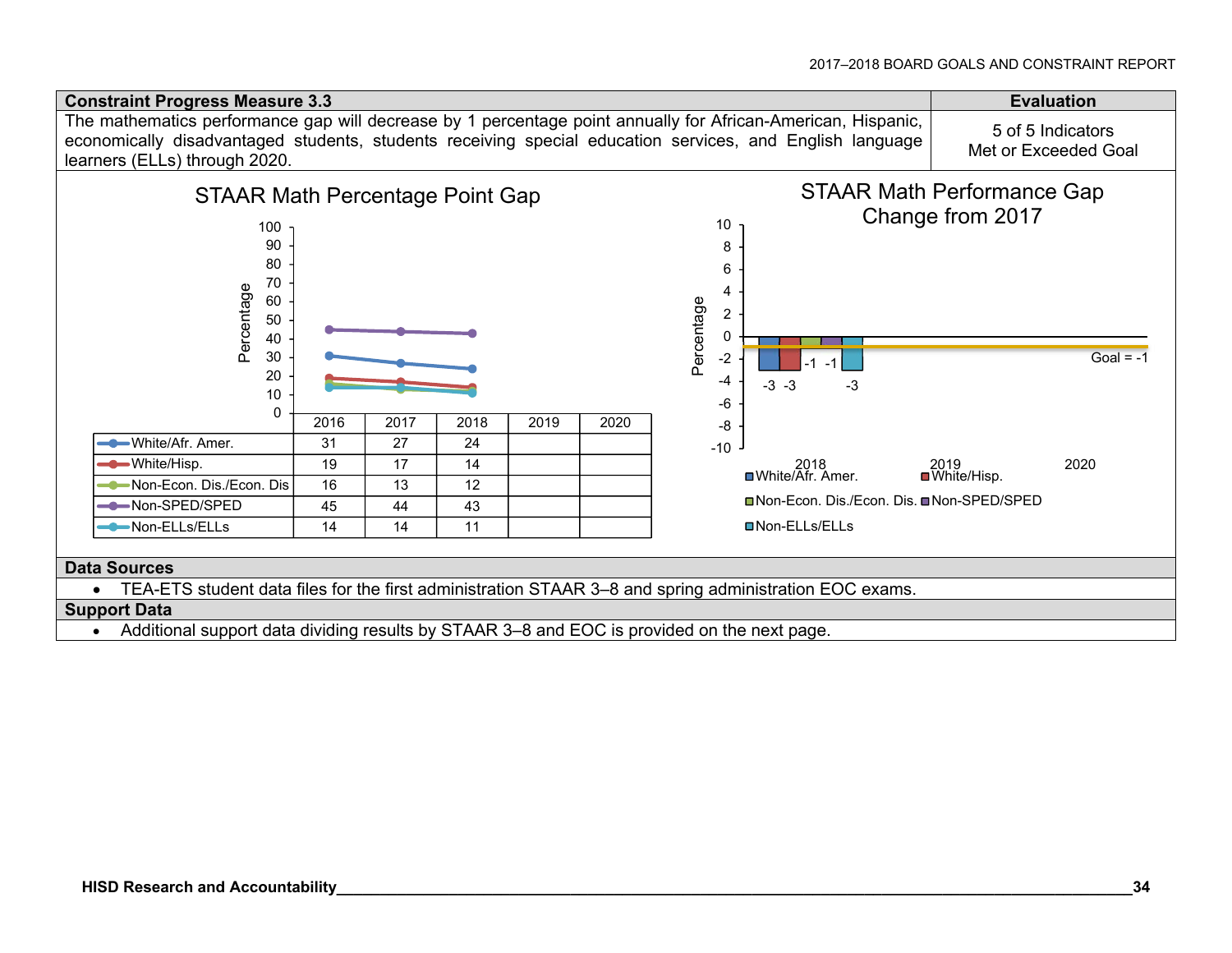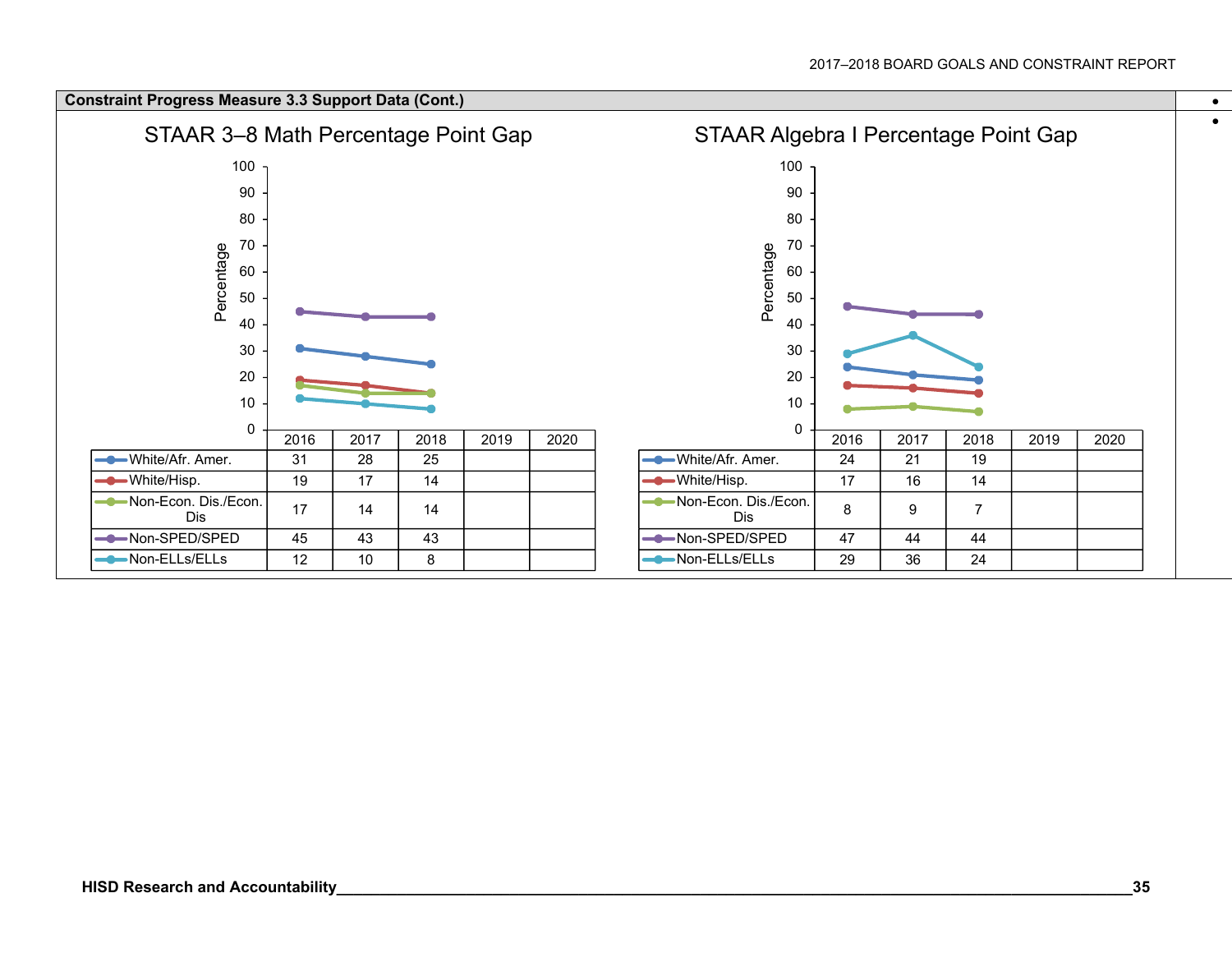#### **Constraint Progress Measure 3.3 Support Data (Cont.)**



 $\bullet$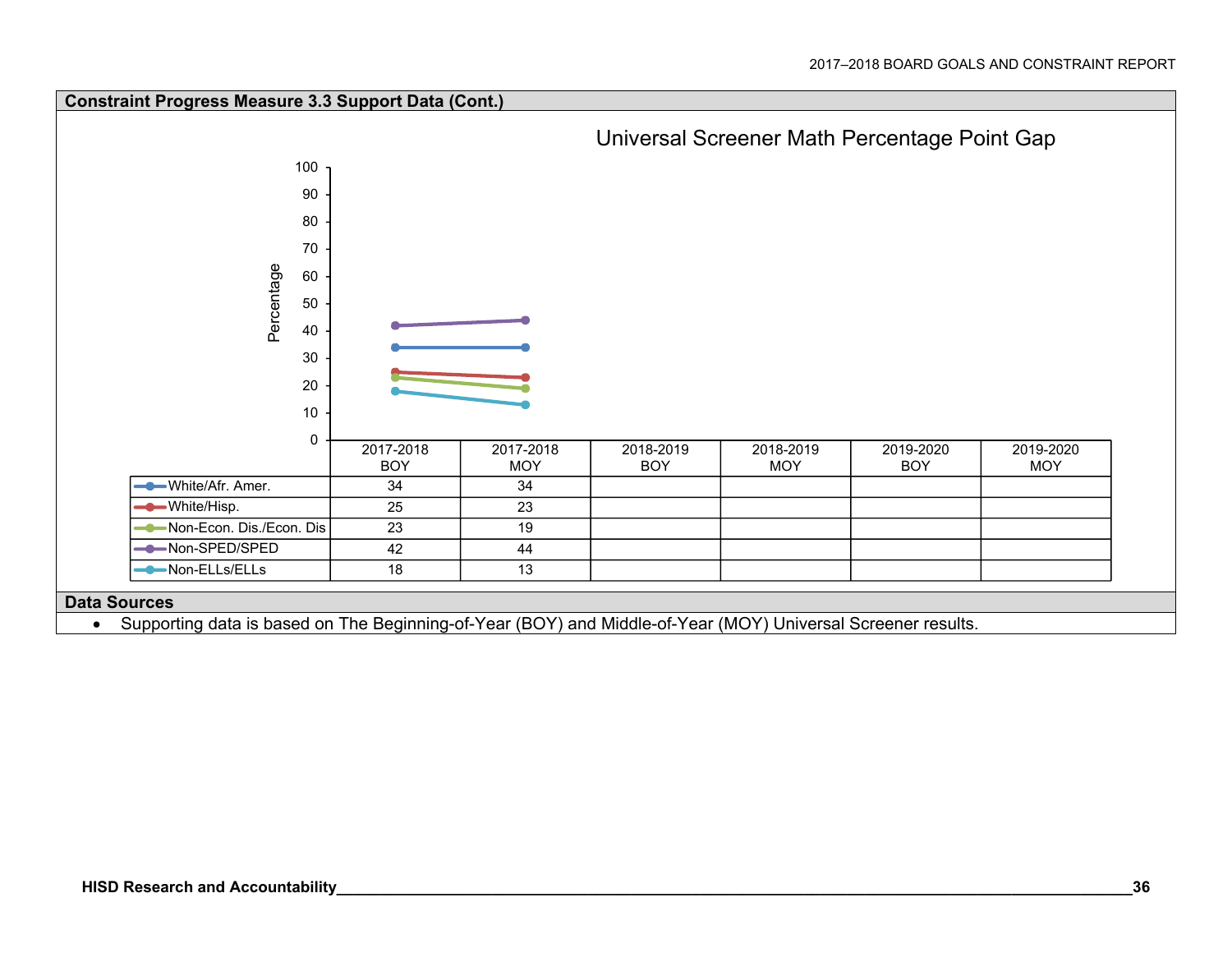

Supporting data is based on The Beginning-of-Year (BOY) and Middle-of-Year (MOY) Universal Screener results.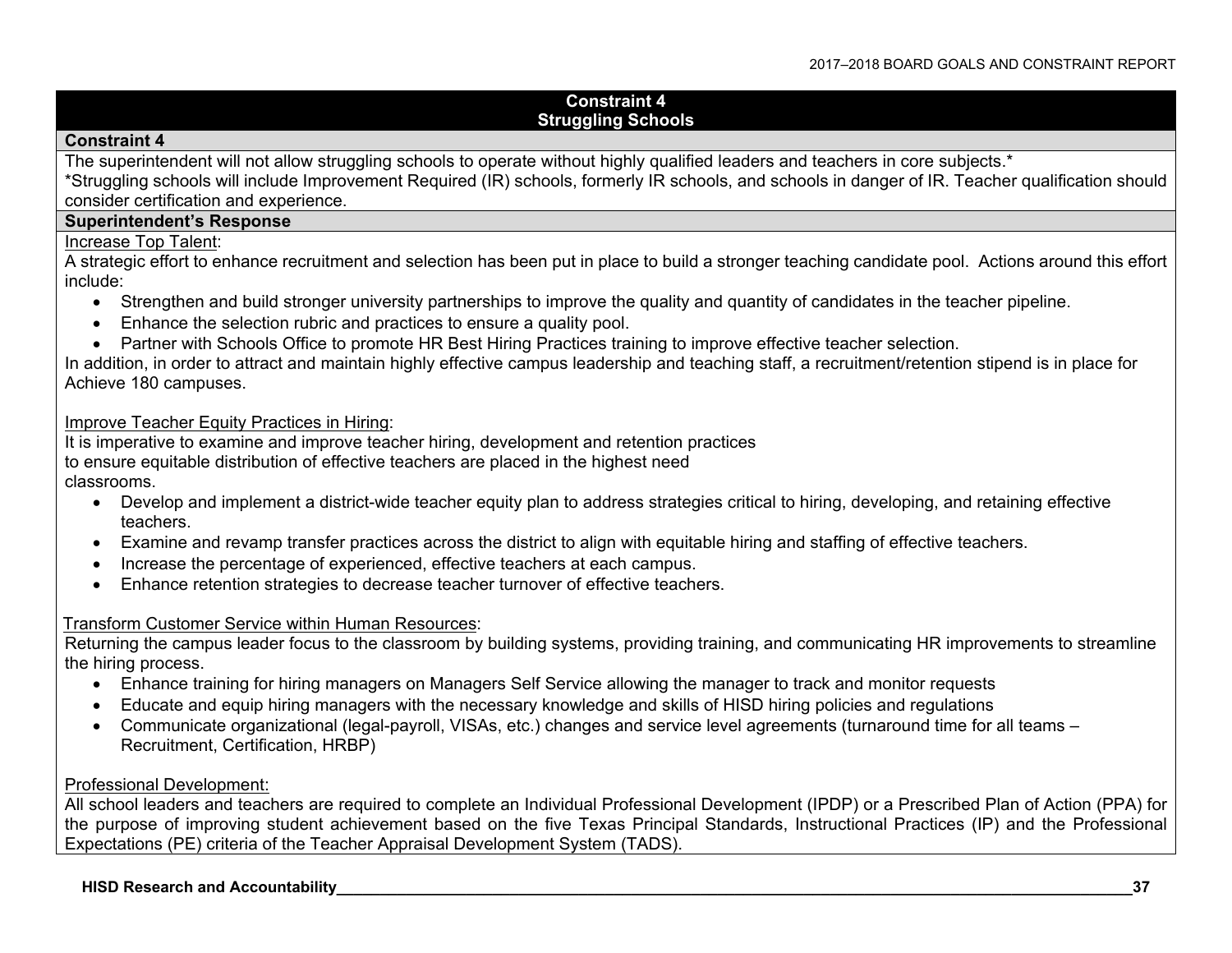#### **Constraint 4 Struggling Schools**

#### **Constraint 4**

The superintendent will not allow struggling schools to operate without highly qualified leaders and teachers in core subjects.<sup>\*</sup>

\*Struggling schools will include Improvement Required (IR) schools, formerly IR schools, and schools in danger of IR. Teacher qualification should consider certification and experience.

#### **Superintendent's Response**

#### Increase Top Talent:

A strategic effort to enhance recruitment and selection has been put in place to build a stronger teaching candidate pool. Actions around this effort include:

- Strengthen and build stronger university partnerships to improve the quality and quantity of candidates in the teacher pipeline.
- Enhance the selection rubric and practices to ensure a quality pool.
- Partner with Schools Office to promote HR Best Hiring Practices training to improve effective teacher selection.

In addition, in order to attract and maintain highly effective campus leadership and teaching staff, a recruitment/retention stipend is in place for Achieve 180 campuses.

#### Improve Teacher Equity Practices in Hiring:

It is imperative to examine and improve teacher hiring, development and retention practices to ensure equitable distribution of effective teachers are placed in the highest need classrooms.

- Develop and implement a district-wide teacher equity plan to address strategies critical to hiring, developing, and retaining effective teachers.
- Examine and revamp transfer practices across the district to align with equitable hiring and staffing of effective teachers.
- Increase the percentage of experienced, effective teachers at each campus.
- Enhance retention strategies to decrease teacher turnover of effective teachers.

#### Transform Customer Service within Human Resources:

Returning the campus leader focus to the classroom by building systems, providing training, and communicating HR improvements to streamline the hiring process.

- Enhance training for hiring managers on Managers Self Service allowing the manager to track and monitor requests
- Educate and equip hiring managers with the necessary knowledge and skills of HISD hiring policies and regulations
- Communicate organizational (legal-payroll, VISAs, etc.) changes and service level agreements (turnaround time for all teams Recruitment, Certification, HRBP)

#### Professional Development:

All school leaders and teachers are required to complete an Individual Professional Development (IPDP) or a Prescribed Plan of Action (PPA) for the purpose of improving student achievement based on the five Texas Principal Standards, Instructional Practices (IP) and the Professional Expectations (PE) criteria of the Teacher Appraisal Development System (TADS).

#### **HISD Research and Accountability\_\_\_\_\_\_\_\_\_\_\_\_\_\_\_\_\_\_\_\_\_\_\_\_\_\_\_\_\_\_\_\_\_\_\_\_\_\_\_\_\_\_\_\_\_\_\_\_\_\_\_\_\_\_\_\_\_\_\_\_\_\_\_\_\_\_\_\_\_\_\_\_\_\_\_\_\_\_\_\_\_\_\_\_\_\_\_\_\_\_\_\_37**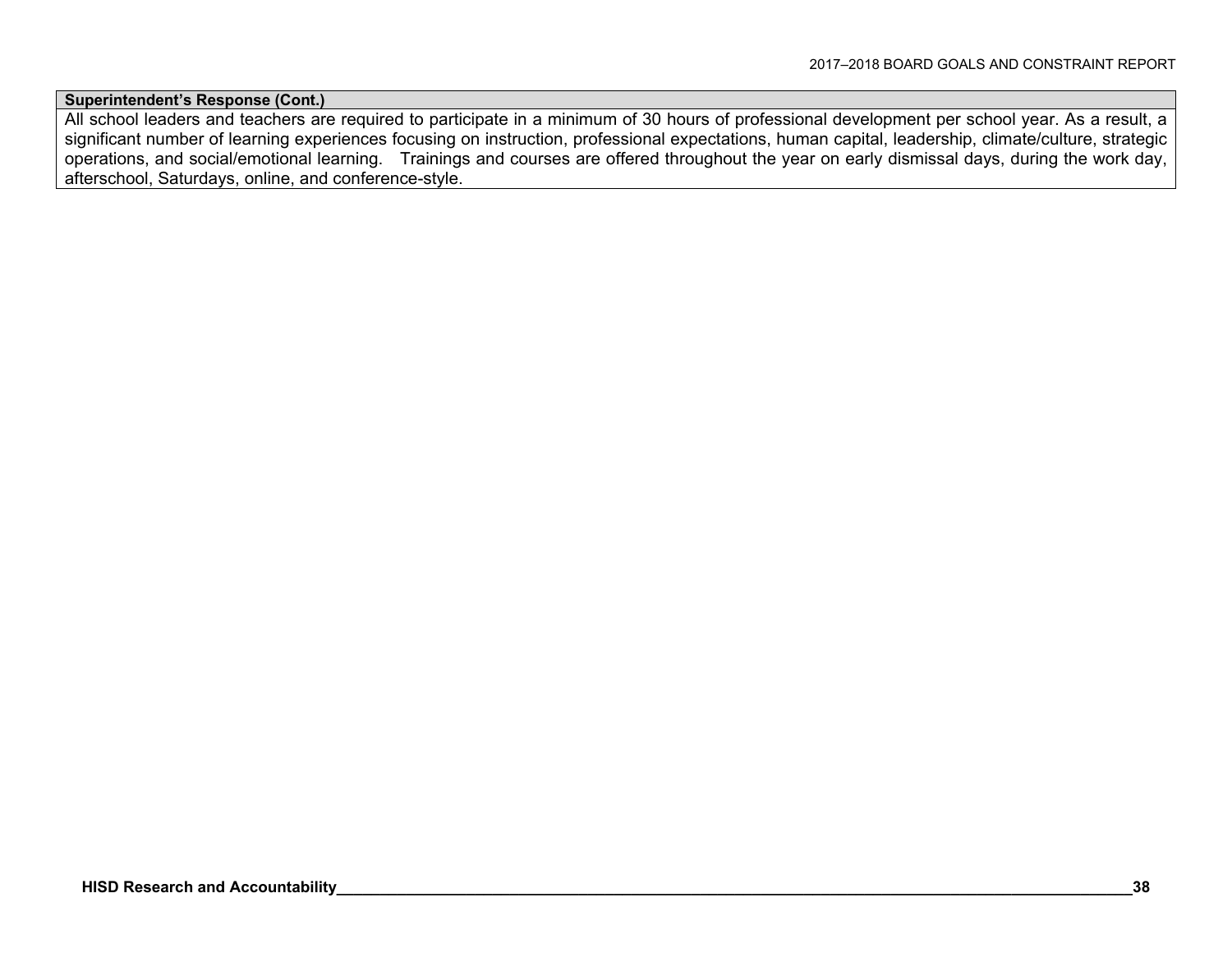**Superintendent's Response (Cont.)**

All school leaders and teachers are required to participate in a minimum of 30 hours of professional development per school year. As a result, a significant number of learning experiences focusing on instruction, professional expectations, human capital, leadership, climate/culture, strategic operations, and social/emotional learning. Trainings and courses are offered throughout the year on early dismissal days, during the work day, afterschool, Saturdays, online, and conference-style.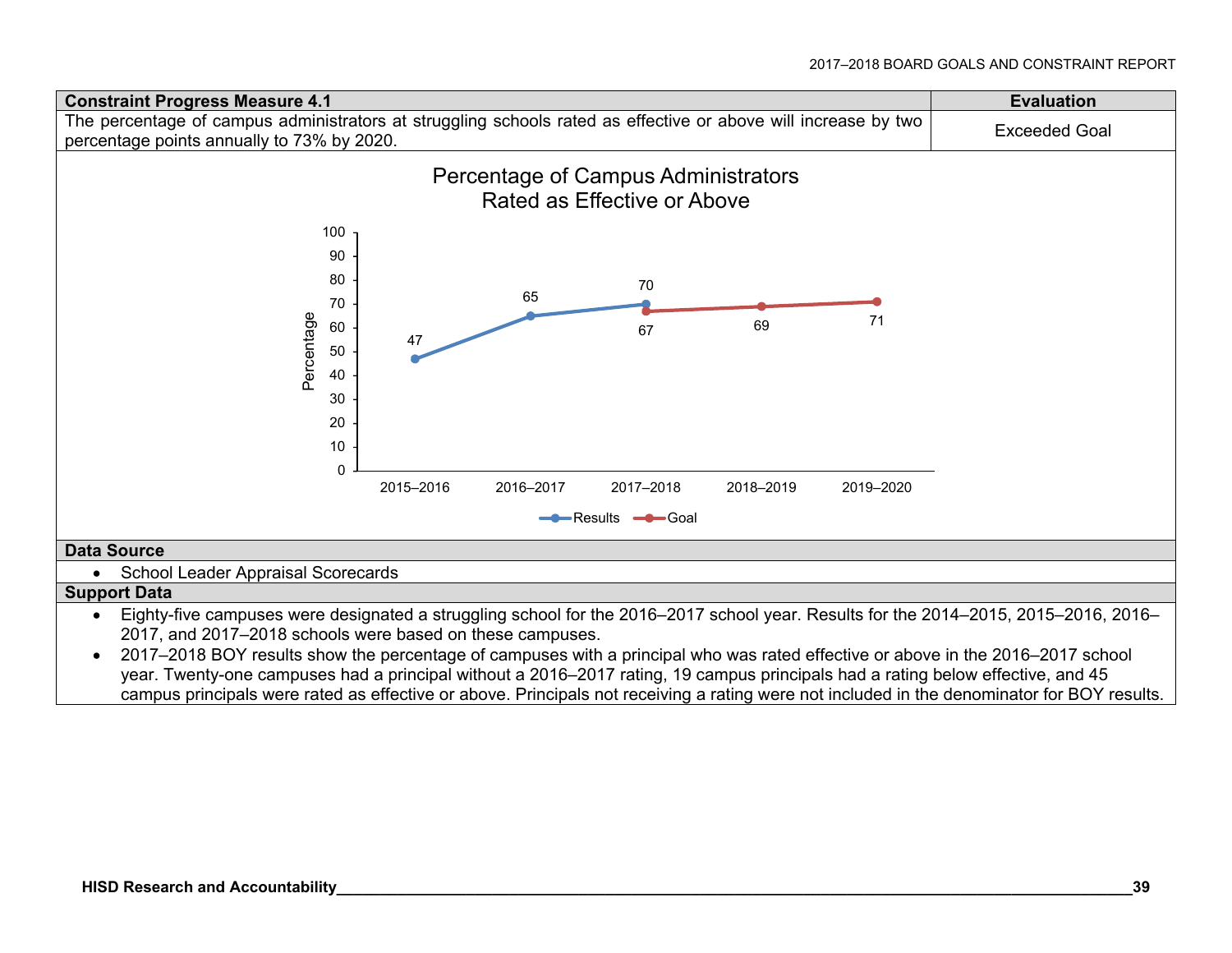

campus principals were rated as effective or above. Principals not receiving a rating were not included in the denominator for BOY results.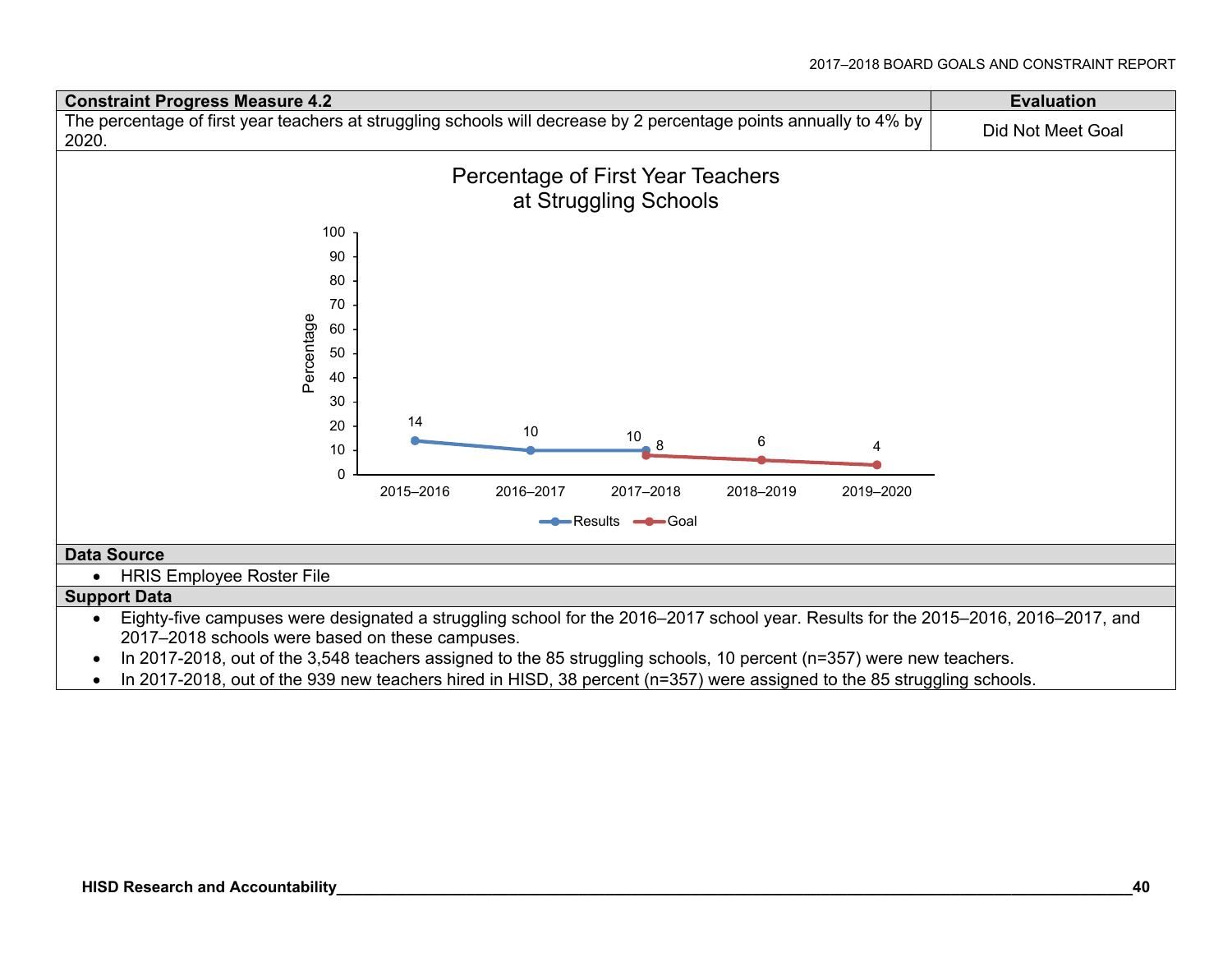

2017–2018 schools were based on these campuses.

• In 2017-2018, out of the 3,548 teachers assigned to the 85 struggling schools, 10 percent (n=357) were new teachers.

• In 2017-2018, out of the 939 new teachers hired in HISD, 38 percent (n=357) were assigned to the 85 struggling schools.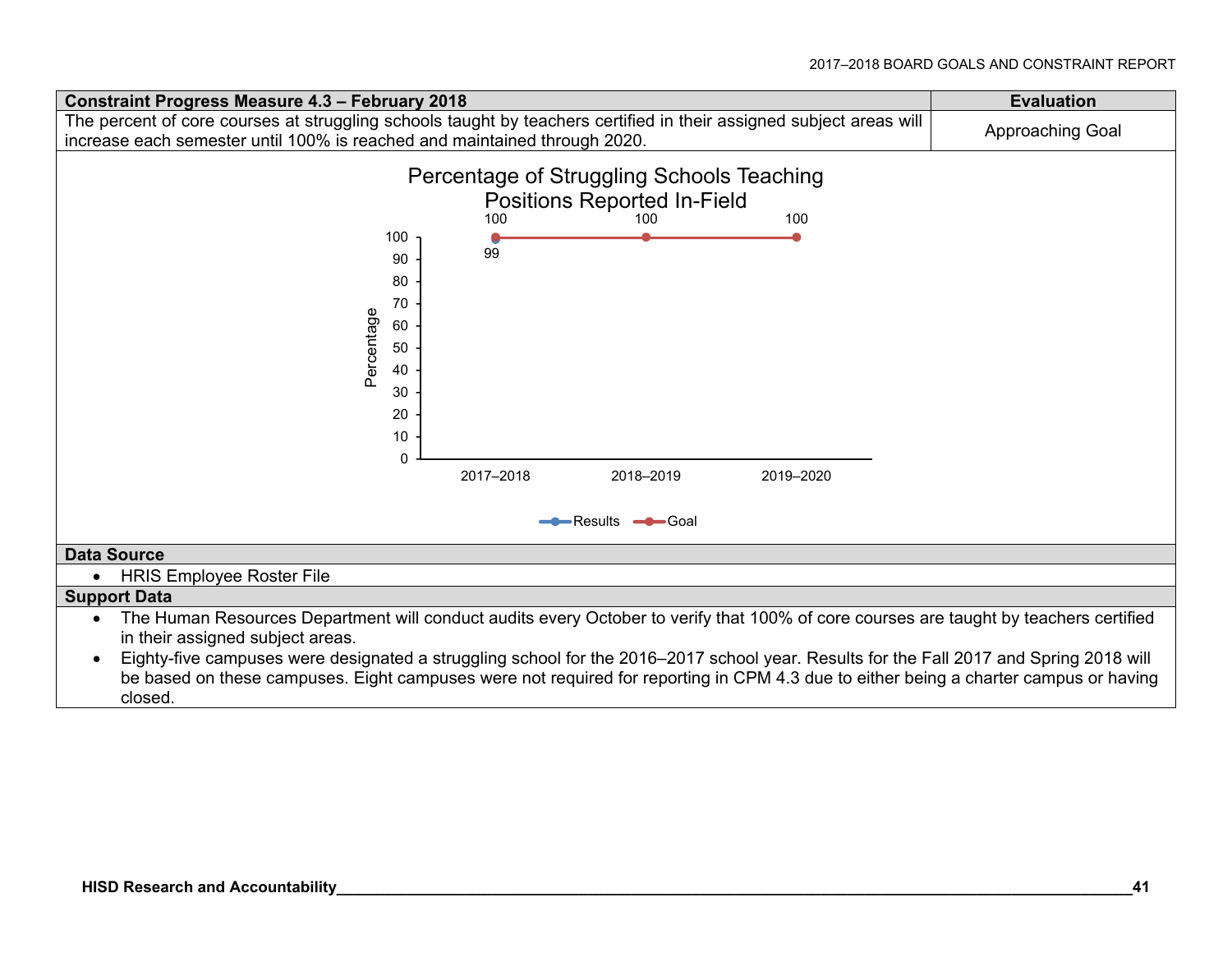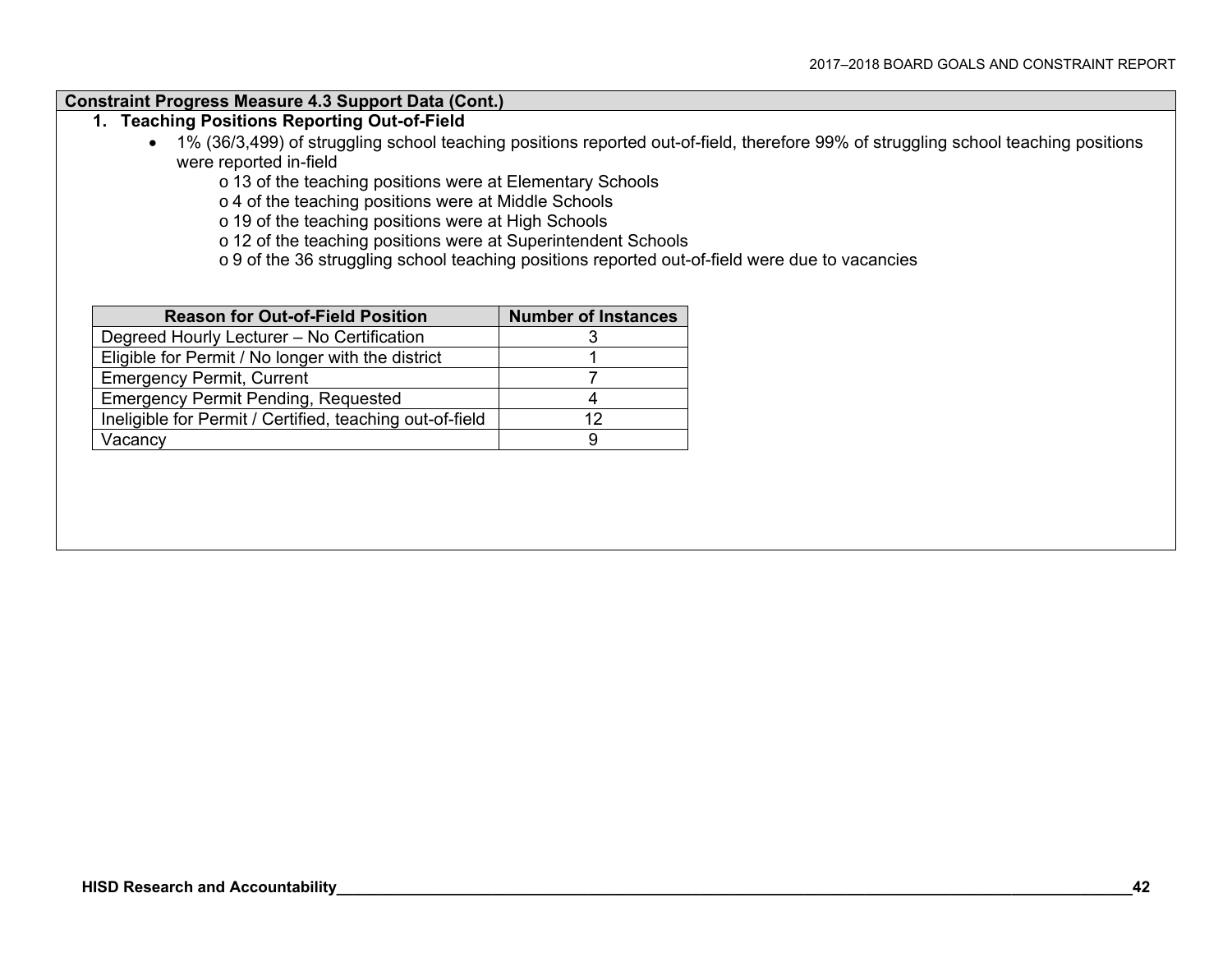#### **Constraint Progress Measure 4.3 Support Data (Cont.)**

### **1. Teaching Positions Reporting Out-of-Field**

 1% (36/3,499) of struggling school teaching positions reported out-of-field, therefore 99% of struggling school teaching positions were reported in-field

o 13 of the teaching positions were at Elementary Schools

<sup>o</sup> 4 of the teaching positions were at Middle Schools

o 19 of the teaching positions were at High Schools

o 12 of the teaching positions were at Superintendent Schools

o 9 of the 36 struggling school teaching positions reported out-of-field were due to vacancies

| <b>Reason for Out-of-Field Position</b>                  | <b>Number of Instances</b> |  |
|----------------------------------------------------------|----------------------------|--|
| Degreed Hourly Lecturer - No Certification               |                            |  |
| Eligible for Permit / No longer with the district        |                            |  |
| <b>Emergency Permit, Current</b>                         |                            |  |
| <b>Emergency Permit Pending, Requested</b>               |                            |  |
| Ineligible for Permit / Certified, teaching out-of-field |                            |  |
| Vacancy                                                  |                            |  |